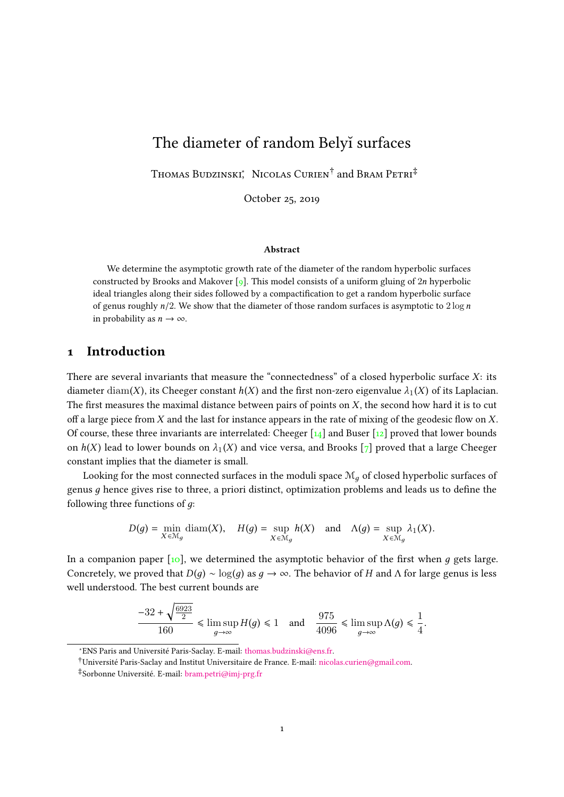# The diameter of random Belyı surfaces

Thomas Budzinski<sup>\*</sup>, Nicolas Curien<sup>†</sup> and Bram Petri<sup>‡</sup>

October 25, 2019

#### Abstract

We determine the asymptotic growth rate of the diameter of the random hyperbolic surfaces constructed by Brooks and Makover [\[9\]](#page-22-0). This model consists of a uniform gluing of  $2n$  hyperbolic ideal triangles along their sides followed by a compactification to get a random hyperbolic surface of genus roughly  $n/2$ . We show that the diameter of those random surfaces is asymptotic to  $2 \log n$ in probability as  $n \to \infty$ .

## <span id="page-0-0"></span>1 Introduction

There are several invariants that measure the "connectedness" of a closed hyperbolic surface  $X$ : its diameter diam(X), its Cheeger constant  $h(X)$  and the first non-zero eigenvalue  $\lambda_1(X)$  of its Laplacian. The first measures the maximal distance between pairs of points on  $X$ , the second how hard it is to cut off a large piece from  $X$  and the last for instance appears in the rate of mixing of the geodesic flow on  $X$ . Of course, these three invariants are interrelated: Cheeger  $\lceil 14 \rceil$  and Buser  $\lceil 12 \rceil$  proved that lower bounds on  $h(X)$  lead to lower bounds on  $\lambda_1(X)$  and vice versa, and Brooks [\[7\]](#page-22-3) proved that a large Cheeger constant implies that the diameter is small.

Looking for the most connected surfaces in the moduli space  $\mathcal{M}_q$  of closed hyperbolic surfaces of genus  $g$  hence gives rise to three, a priori distinct, optimization problems and leads us to define the following three functions of  $q$ :

$$
D(g) = \min_{X \in \mathcal{M}_g} \text{diam}(X), \quad H(g) = \sup_{X \in \mathcal{M}_g} h(X) \quad \text{and} \quad \Lambda(g) = \sup_{X \in \mathcal{M}_g} \lambda_1(X).
$$

In a companion paper  $\lceil \cdot \cdot \cdot \rceil$ , we determined the asymptotic behavior of the first when q gets large. Concretely, we proved that  $D(g) \sim \log(g)$  as  $g \to \infty$ . The behavior of H and  $\Lambda$  for large genus is less well understood. The best current bounds are

$$
\frac{-32 + \sqrt{\frac{6923}{2}}}{160} \le \limsup_{g \to \infty} H(g) \le 1 \quad \text{and} \quad \frac{975}{4096} \le \limsup_{g \to \infty} \Lambda(g) \le \frac{1}{4}.
$$

<sup>∗</sup>ENS Paris and Université Paris-Saclay. E-mail: [thomas.budzinski@ens.fr.](mailto:thomas.budzinski@ens.fr)

<sup>†</sup>Université Paris-Saclay and Institut Universitaire de France. E-mail: [nicolas.curien@gmail.com.](mailto:nicolas.curien@gmail.com)

<sup>‡</sup>Sorbonne Université. E-mail: [bram.petri@imj-prg.fr](mailto:bram.petri@imj-prg.fr)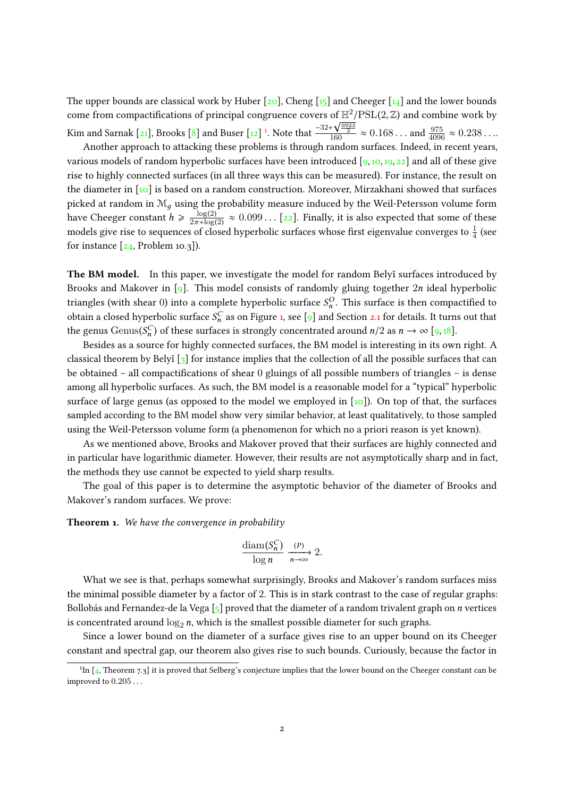The upper bounds are classical work by Huber  $[20]$ , Cheng  $[15]$  and Cheeger  $[14]$  and the lower bounds come from compactifications of principal congruence covers of  $\mathbb{H}^2/\mathrm{PSL}(2,\mathbb{Z})$  and combine work by Kim and Sarnak [\[21\]](#page-22-7), Brooks [\[8\]](#page-22-8) and Buser [\[12\]](#page-22-2)<sup>[1](#page-1-0)</sup>. Note that  $\frac{-32+}{1}$ or  $\frac{\ln 7}{160}$  PSL(2, ∠) and combine work by<br> $\frac{4\sqrt{\frac{6923}{92}}}{160}$  ≈ 0.168... and  $\frac{975}{4096}$  ≈ 0.238...

Another approach to attacking these problems is through random surfaces. Indeed, in recent years, various models of random hyperbolic surfaces have been introduced  $\lceil 9, 10, 19, 22 \rceil$  $\lceil 9, 10, 19, 22 \rceil$  $\lceil 9, 10, 19, 22 \rceil$  $\lceil 9, 10, 19, 22 \rceil$  $\lceil 9, 10, 19, 22 \rceil$  and all of these give rise to highly connected surfaces (in all three ways this can be measured). For instance, the result on the diameter in [\[10\]](#page-22-4) is based on a random construction. Moreover, Mirzakhani showed that surfaces picked at random in  $\mathcal{M}_q$  using the probability measure induced by the Weil-Petersson volume form have Cheeger constant  $h \geqslant \frac{\log(2)}{2\pi + \log(2)}$  $\frac{\log(2)}{2\pi + \log(2)} \approx 0.099...$  [\[22\]](#page-22-10). Finally, it is also expected that some of these<br>a of along hyperbolic surfaces whose first circumlue converses to  $\frac{1}{2}$  (een models give rise to sequences of closed hyperbolic surfaces whose first eigenvalue converges to  $\frac{1}{4}$  (see for instance  $[24,$  Problem 10.3]).

The BM model. In this paper, we investigate the model for random Belyĭ surfaces introduced by Brooks and Makover in [\[9\]](#page-22-0). This model consists of randomly gluing together  $2n$  ideal hyperbolic triangles (with shear 0) into a complete hyperbolic surface  $S_n^O$ . This surface is then compactified to obtain a closed hyperbolic surface  $S_n^C$  as on Figure [1,](#page-2-0) see [\[9\]](#page-22-0) and Section [2.1](#page-4-0) for details. It turns out that the genus Genus( $S_n^C$ ) of these surfaces is strongly concentrated around  $n/2$  as  $n \to \infty$  [\[9,](#page-22-0)[18\]](#page-22-12).

Besides as a source for highly connected surfaces, the BM model is interesting in its own right. A classical theorem by Belyĭ  $\lceil 3 \rceil$  for instance implies that the collection of all the possible surfaces that can be obtained – all compactifications of shear 0 gluings of all possible numbers of triangles – is dense among all hyperbolic surfaces. As such, the BM model is a reasonable model for a "typical" hyperbolic surface of large genus (as opposed to the model we employed in [\[10\]](#page-22-4)). On top of that, the surfaces sampled according to the BM model show very similar behavior, at least qualitatively, to those sampled using the Weil-Petersson volume form (a phenomenon for which no a priori reason is yet known).

As we mentioned above, Brooks and Makover proved that their surfaces are highly connected and in particular have logarithmic diameter. However, their results are not asymptotically sharp and in fact, the methods they use cannot be expected to yield sharp results.

The goal of this paper is to determine the asymptotic behavior of the diameter of Brooks and Makover's random surfaces. We prove:

<span id="page-1-1"></span>**Theorem 1.** We have the convergence in probability

$$
\frac{\text{diam}(S_n^C)}{\log n} \xrightarrow[n \to \infty]{(P)} 2.
$$

What we see is that, perhaps somewhat surprisingly, Brooks and Makover's random surfaces miss the minimal possible diameter by a factor of 2. This is in stark contrast to the case of regular graphs: Bollobás and Fernandez-de la Vega  $\lceil 5 \rceil$  proved that the diameter of a random trivalent graph on *n* vertices is concentrated around  $\log_2 n$ , which is the smallest possible diameter for such graphs.

Since a lower bound on the diameter of a surface gives rise to an upper bound on its Cheeger constant and spectral gap, our theorem also gives rise to such bounds. Curiously, because the factor in

<span id="page-1-0"></span><sup>&</sup>lt;sup>1</sup>In [\[4,](#page-22-15) Theorem 7.3] it is proved that Selberg's conjecture implies that the lower bound on the Cheeger constant can be improved to 0.205 . . .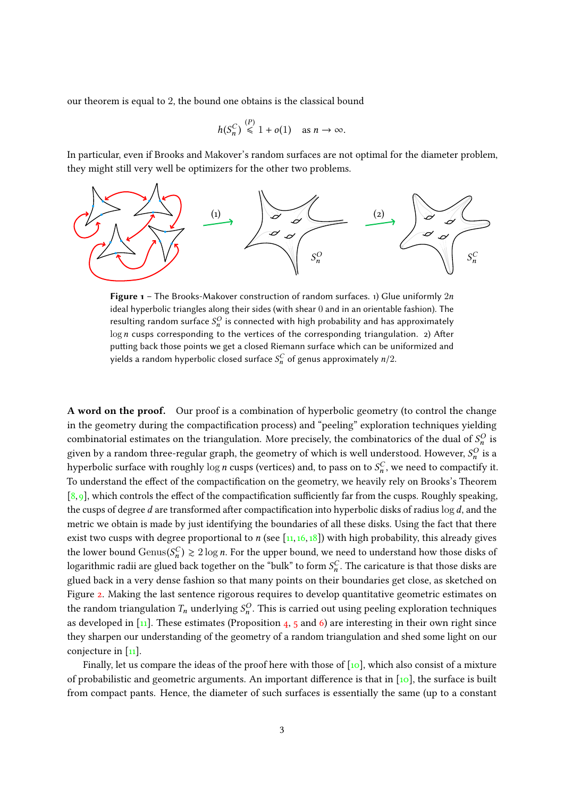our theorem is equal to 2, the bound one obtains is the classical bound

$$
h(S_n^C) \stackrel{(P)}{\leqslant} 1 + o(1) \quad \text{as } n \to \infty.
$$

In particular, even if Brooks and Makover's random surfaces are not optimal for the diameter problem, they might still very well be optimizers for the other two problems.

<span id="page-2-0"></span>

**Figure 1** – The Brooks-Makover construction of random surfaces. 1) Glue uniformly  $2n$ ideal hyperbolic triangles along their sides (with shear 0 and in an orientable fashion). The resulting random surface  $S_n^O$  is connected with high probability and has approximately  $log n$  cusps corresponding to the vertices of the corresponding triangulation. 2) After putting back those points we get a closed Riemann surface which can be uniformized and yields a random hyperbolic closed surface  $\mathcal{S}^C_n$  of genus approximately  $n/2$ .

A word on the proof. Our proof is a combination of hyperbolic geometry (to control the change in the geometry during the compactification process) and "peeling" exploration techniques yielding combinatorial estimates on the triangulation. More precisely, the combinatorics of the dual of  $S_n^O$  is given by a random three-regular graph, the geometry of which is well understood. However,  $S_n^O$  is a hyperbolic surface with roughly  $\log n$  cusps (vertices) and, to pass on to  $S_n^C$ , we need to compactify it. To understand the effect of the compactification on the geometry, we heavily rely on Brooks's Theorem  $[8, 9]$  $[8, 9]$  $[8, 9]$ , which controls the effect of the compactification sufficiently far from the cusps. Roughly speaking, the cusps of degree d are transformed after compactification into hyperbolic disks of radius  $\log d$ , and the metric we obtain is made by just identifying the boundaries of all these disks. Using the fact that there exist two cusps with degree proportional to n (see  $\left[11,16,18\right]$  $\left[11,16,18\right]$  $\left[11,16,18\right]$  $\left[11,16,18\right]$ ) with high probability, this already gives the lower bound  $Genus(S_n^C) \geq 2 \log n$ . For the upper bound, we need to understand how those disks of<br>logarithmic radii are glued hagh together an the "hull" to form  $SC$ . The expirature is that these disks are logarithmic radii are glued back together on the "bulk" to form  $S_n^C$ . The caricature is that those disks are glued back in a very dense fashion so that many points on their boundaries get close, as sketched on Figure [2.](#page-3-0) Making the last sentence rigorous requires to develop quantitative geometric estimates on the random triangulation  $T_n$  underlying  $S_n^O$ . This is carried out using peeling exploration techniques as developed in  $\left[11\right]$ . These estimates (Proposition [4,](#page-10-0) [5](#page-10-1) and [6\)](#page-11-0) are interesting in their own right since they sharpen our understanding of the geometry of a random triangulation and shed some light on our conjecture in  $\lceil \frac{1}{11} \rceil$ .

Finally, let us compare the ideas of the proof here with those of  $[10]$ , which also consist of a mixture of probabilistic and geometric arguments. An important difference is that in  $\lceil \log n \rceil$ , the surface is built from compact pants. Hence, the diameter of such surfaces is essentially the same (up to a constant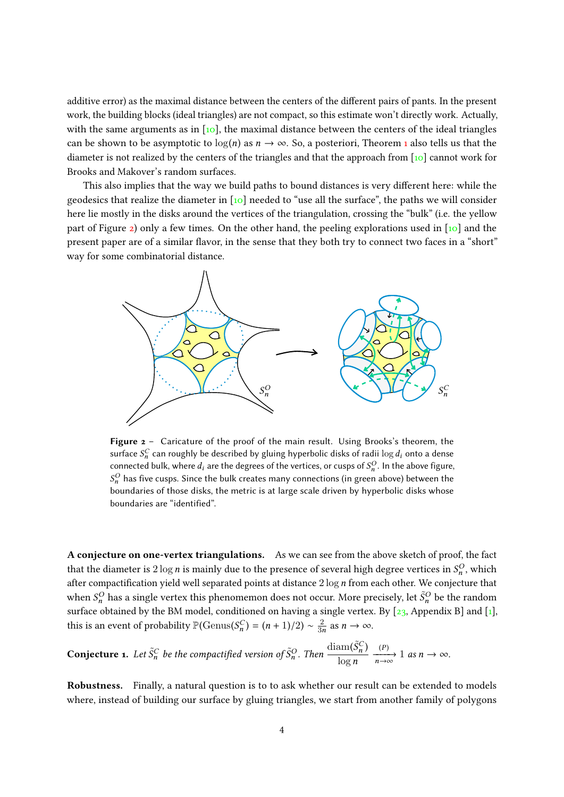additive error) as the maximal distance between the centers of the different pairs of pants. In the present work, the building blocks (ideal triangles) are not compact, so this estimate won't directly work. Actually, with the same arguments as in  $[10]$ , the maximal distance between the centers of the ideal triangles can be shown to be asymptotic to  $log(n)$  as  $n \to \infty$ . So, a posteriori, Theorem [1](#page-1-1) also tells us that the diameter is not realized by the centers of the triangles and that the approach from [\[10\]](#page-22-4) cannot work for Brooks and Makover's random surfaces.

This also implies that the way we build paths to bound distances is very different here: while the geodesics that realize the diameter in [\[10\]](#page-22-4) needed to "use all the surface", the paths we will consider here lie mostly in the disks around the vertices of the triangulation, crossing the "bulk" (i.e. the yellow part of Figure [2\)](#page-3-0) only a few times. On the other hand, the peeling explorations used in  $\lceil \cdot \cdot \cdot \rceil$  and the present paper are of a similar flavor, in the sense that they both try to connect two faces in a "short" way for some combinatorial distance.

<span id="page-3-0"></span>

Figure 2 - Caricature of the proof of the main result. Using Brooks's theorem, the surface  $S_n^C$  can roughly be described by gluing hyperbolic disks of radii  $\log d_i$  onto a dense connected bulk, where  $d_i$  are the degrees of the vertices, or cusps of  $S_n^O$ . In the above figure,  $S_n^O$  has five cusps. Since the bulk creates many connections (in green above) between the boundaries of those disks, the metric is at large scale driven by hyperbolic disks whose boundaries are "identified".

A conjecture on one-vertex triangulations. As we can see from the above sketch of proof, the fact that the diameter is  $2 \log n$  is mainly due to the presence of several high degree vertices in  $S_n^O$ , which after compactification yield well separated points at distance  $2 \log n$  from each other. We conjecture that when  $S_n^O$  has a single vertex this phenomemon does not occur. More precisely, let  $\tilde{S}_n^O$  be the random surface obtained by the BM model, conditioned on having a single vertex. By  $[23,$  Appendix B] and  $[1]$ , this is an event of probability  $\mathbb{P}(\text{Genus}(S_n^C) = (n+1)/2) \sim \frac{2}{3n}$  $\frac{2}{3n}$  as  $n \to \infty$ .

**Conjecture 1.** Let  $\tilde{S}_n^C$  be the compactified version of  $\tilde{S}_n^O$ . Then  $\frac{\text{diam}(\tilde{S}_n^C)}{\log n}$  $\frac{(P)}{n\rightarrow\infty}$  1 as  $n\rightarrow\infty$ .

Robustness. Finally, a natural question is to to ask whether our result can be extended to models where, instead of building our surface by gluing triangles, we start from another family of polygons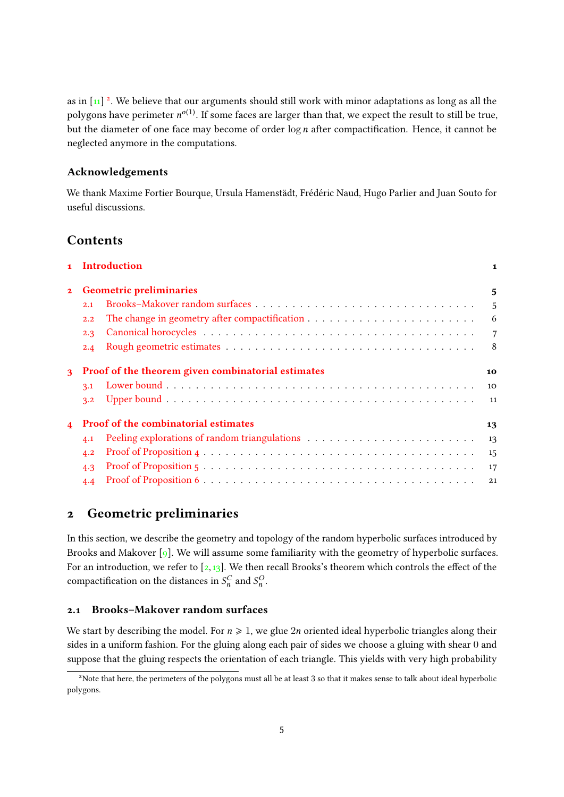as in  $\left[1\right]$ <sup>[2](#page-4-1)</sup>. We believe that our arguments should still work with minor adaptations as long as all the polygons have perimeter  $n^{o(1)}$ . If some faces are larger than that, we expect the result to still be true, but the diameter of one face may become of order  $\log n$  after compactification. Hence, it cannot be neglected anymore in the computations.

## Acknowledgements

We thank Maxime Fortier Bourque, Ursula Hamenstädt, Frédéric Naud, Hugo Parlier and Juan Souto for useful discussions.

# Contents

|                         | 1 Introduction                                     |  | $\mathbf{1}$   |
|-------------------------|----------------------------------------------------|--|----------------|
| $\mathbf{2}$            | <b>Geometric preliminaries</b>                     |  | 5              |
|                         | 2.1                                                |  | 5              |
|                         | 2.2                                                |  | 6              |
|                         | 2.3                                                |  | $\overline{7}$ |
|                         | 2.4                                                |  | - 8            |
| $\mathbf{a}$            | Proof of the theorem given combinatorial estimates |  | 10             |
|                         | 3.1                                                |  | 10             |
|                         | 3.2                                                |  | - 11           |
| $\overline{\mathbf{4}}$ | <b>Proof of the combinatorial estimates</b>        |  | 13             |
|                         | 4.1                                                |  | -13            |
|                         | 4.2                                                |  | 15             |
|                         | 4.3                                                |  | 17             |
|                         | 4.4                                                |  | 21             |

# <span id="page-4-2"></span>2 Geometric preliminaries

In this section, we describe the geometry and topology of the random hyperbolic surfaces introduced by Brooks and Makover [\[9\]](#page-22-0). We will assume some familiarity with the geometry of hyperbolic surfaces. For an introduction, we refer to  $[2,13]$  $[2,13]$ . We then recall Brooks's theorem which controls the effect of the compactification on the distances in  $S_n^C$  and  $S_n^O$ .

## <span id="page-4-0"></span>2.1 Brooks–Makover random surfaces

We start by describing the model. For  $n \geq 1$ , we glue 2n oriented ideal hyperbolic triangles along their sides in a uniform fashion. For the gluing along each pair of sides we choose a gluing with shear 0 and suppose that the gluing respects the orientation of each triangle. This yields with very high probability

<span id="page-4-1"></span><sup>&</sup>lt;sup>2</sup>Note that here, the perimeters of the polygons must all be at least 3 so that it makes sense to talk about ideal hyperbolic polygons.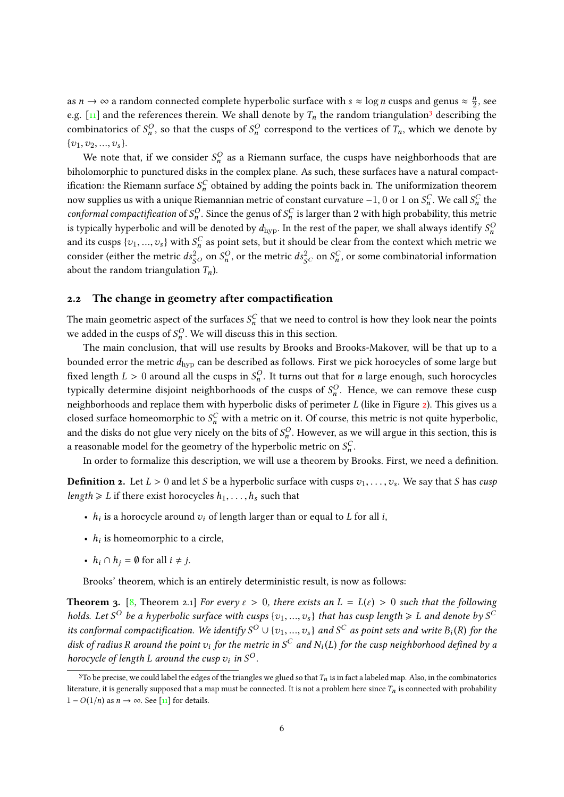as  $n \to \infty$  a random connected complete hyperbolic surface with  $s \approx \log n$  cusps and genus  $\approx \frac{n}{2}$  $\frac{n}{2}$ , see e.g. [\[11\]](#page-22-16) and the references therein. We shall denote by  $T_n$  the random triangulation<sup>[3](#page-5-1)</sup> describing the combinatorics of  $S_n^O$ , so that the cusps of  $S_n^O$  correspond to the vertices of  $T_n$ , which we denote by  $\{v_1, v_2, ..., v_s\}.$ 

We note that, if we consider  $S_n^O$  as a Riemann surface, the cusps have neighborhoods that are biholomorphic to punctured disks in the complex plane. As such, these surfaces have a natural compactification: the Riemann surface  $S_n^C$  obtained by adding the points back in. The uniformization theorem now supplies us with a unique Riemannian metric of constant curvature  $-1$ , 0 or 1 on  $S_n^C$ . We call  $S_n^C$  the conformal compactification of  $S_n^O$ . Since the genus of  $S_n^C$  is larger than 2 with high probability, this metric is typically hyperbolic and will be denoted by  $d_{\text{hyp}}.$  In the rest of the paper, we shall always identify  $S_n^C$ and its cusps  $\{v_1, ..., v_s\}$  with  $S_n^C$  as point sets, but it should be clear from the context which metric we consider (either the metric  $ds_{SO}^2$  on  $S_n^O$ , or the metric  $ds_{SC}^2$  on  $S_n^C$ , or some combinatorial information about the random triangulation  $T_n$ ).

#### <span id="page-5-0"></span>2.2 The change in geometry after compactification

The main geometric aspect of the surfaces  $S_n^C$  that we need to control is how they look near the points we added in the cusps of  $S_n^O$ . We will discuss this in this section.

The main conclusion, that will use results by Brooks and Brooks-Makover, will be that up to a bounded error the metric  $d_{\text{hyp}}$  can be described as follows. First we pick horocycles of some large but fixed length  $L > 0$  around all the cusps in  $S_n^O$ . It turns out that for *n* large enough, such horocycles typically determine disjoint neighborhoods of the cusps of  $S_n^O$ . Hence, we can remove these cusp neighborhoods and replace them with hyperbolic disks of perimeter  $L$  (like in Figure  $2$ ). This gives us a closed surface homeomorphic to  $S_n^C$  with a metric on it. Of course, this metric is not quite hyperbolic, and the disks do not glue very nicely on the bits of  $S_n^O$ . However, as we will argue in this section, this is a reasonable model for the geometry of the hyperbolic metric on  $S_n^C$ .

In order to formalize this description, we will use a theorem by Brooks. First, we need a definition.

**Definition 2.** Let  $L > 0$  and let S be a hyperbolic surface with cusps  $v_1, \ldots, v_s$ . We say that S has cusp length  $\geq L$  if there exist horocycles  $h_1, \ldots, h_s$  such that

- $h_i$  is a horocycle around  $v_i$  of length larger than or equal to  $L$  for all  $i$ ,
- $h_i$  is homeomorphic to a circle,
- $h_i \cap h_j = \emptyset$  for all  $i \neq j$ .

Brooks' theorem, which is an entirely deterministic result, is now as follows:

<span id="page-5-2"></span>**Theorem 3.** [\[8,](#page-22-8) Theorem 2.1] For every  $\varepsilon > 0$ , there exists an  $L = L(\varepsilon) > 0$  such that the following holds. Let S<sup>O</sup> be a hyperbolic surface with cusps  $\{v_1, ..., v_s\}$  that has cusp length  $\ge L$  and denote by S<sup>C</sup> its conformal compactification. We identify  $S^O \cup \{v_1, ..., v_s\}$  and  $S^C$  as point sets and write  $B_i(R)$  for the disk of product the point of the metric in  $S^C$  and  $N(I)$  for the quan neighborhood defined by a disk of radius R around the point  $v_i$  for the metric in  $S^C$  and  $N_i(L)$  for the cusp neighborhood defined by a<br>have velocity of layeth L ansumed the suspection  $S^O$ horocycle of length L around the cusp  $v_i$  in  $S^O$ .

<span id="page-5-1"></span><sup>&</sup>lt;sup>3</sup>To be precise, we could label the edges of the triangles we glued so that  $T_n$  is in fact a labeled map. Also, in the combinatorics literature, it is generally supposed that a map must be connected. It is not a problem here since  $T_n$  is connected with probability  $1 - O(1/n)$  as  $n \to \infty$ . See [\[11\]](#page-22-16) for details.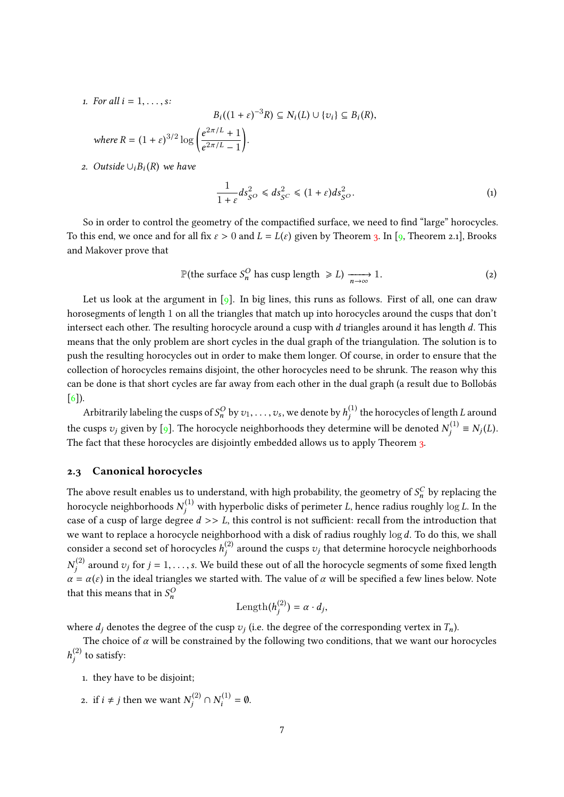1. For all  $i = 1, \ldots, s$ :

where  $R = (1$ 

$$
B_i((1+\varepsilon)^{-3}R) \subseteq N_i(L) \cup \{v_i\} \subseteq B_i(R),
$$
  
+  $\varepsilon)^{3/2} \log \left(\frac{e^{2\pi/L} + 1}{e^{2\pi/L} - 1}\right).$ 

2. Outside  $\cup_i B_i(R)$  we have

<span id="page-6-2"></span>
$$
\frac{1}{1+\varepsilon}ds_{S^O}^2 \leqslant ds_{S^C}^2 \leqslant (1+\varepsilon)ds_{S^O}^2.
$$
 (1)

So in order to control the geometry of the compactified surface, we need to find "large" horocycles. To this end, we once and for all fix  $\varepsilon > 0$  and  $L = L(\varepsilon)$  given by Theorem [3.](#page-5-2) In [\[9,](#page-22-0) Theorem 2.1], Brooks and Makover prove that

<span id="page-6-1"></span>
$$
\mathbb{P}(\text{the surface } S_n^O \text{ has cusp length } \geq L) \xrightarrow[n \to \infty]{} 1. \tag{2}
$$

Let us look at the argument in  $\lceil 9 \rceil$ . In big lines, this runs as follows. First of all, one can draw horosegments of length 1 on all the triangles that match up into horocycles around the cusps that don't intersect each other. The resulting horocycle around a cusp with  $d$  triangles around it has length  $d$ . This means that the only problem are short cycles in the dual graph of the triangulation. The solution is to push the resulting horocycles out in order to make them longer. Of course, in order to ensure that the collection of horocycles remains disjoint, the other horocycles need to be shrunk. The reason why this can be done is that short cycles are far away from each other in the dual graph (a result due to Bollobás [\[6\]](#page-22-22)).

Arbitrarily labeling the cusps of  $S_n^O$  by  $v_1,\ldots,v_s$ , we denote by  $h_j^{(1)}$  the horocycles of length  $L$  around the cusps  $v_j$  given by [\[9\]](#page-22-0). The horocycle neighborhoods they determine will be denoted  $N_j^{(1)} \equiv N_j(L)$ .<br>The feat that these horoceples are disjointly only ded allows us to surely Theorems. The fact that these horocycles are disjointly embedded allows us to apply Theorem [3.](#page-5-2)

### <span id="page-6-0"></span>2.3 Canonical horocycles

The above result enables us to understand, with high probability, the geometry of  $S_n^C$  by replacing the horocycle neighborhoods  $N_j^{(1)}$  with hyperbolic disks of perimeter  $L$ , hence radius roughly  $\log L$ . In the case of a cusp of large degree  $d \gg L$ , this control is not sufficient: recall from the introduction that we want to replace a horocycle neighborhood with a disk of radius roughly  $\log d$ . To do this, we shall consider a second set of horocycles  $h_j^{(2)}$  around the cusps  $v_j$  that determine horocycle neighborhoods  $N_j^{(2)}$  around  $v_j$  for  $j=1,\ldots,s.$  We build these out of all the horocycle segments of some fixed length  $\alpha = \alpha(\varepsilon)$  in the ideal triangles we started with. The value of  $\alpha$  will be specified a few lines below. Note that this means that in  $S_n^O$ 

$$
\mathrm{Length}(h_j^{(2)}) = \alpha \cdot d_j,
$$

where  $d_j$  denotes the degree of the cusp  $v_j$  (i.e. the degree of the corresponding vertex in  $T_n$ ).

The choice of  $\alpha$  will be constrained by the following two conditions, that we want our horocycles  $h_j^{(2)}$  to satisfy:

- 1. they have to be disjoint;
- 2. if  $i \neq j$  then we want  $N_j^{(2)} \cap N_i^{(1)} = \emptyset$ .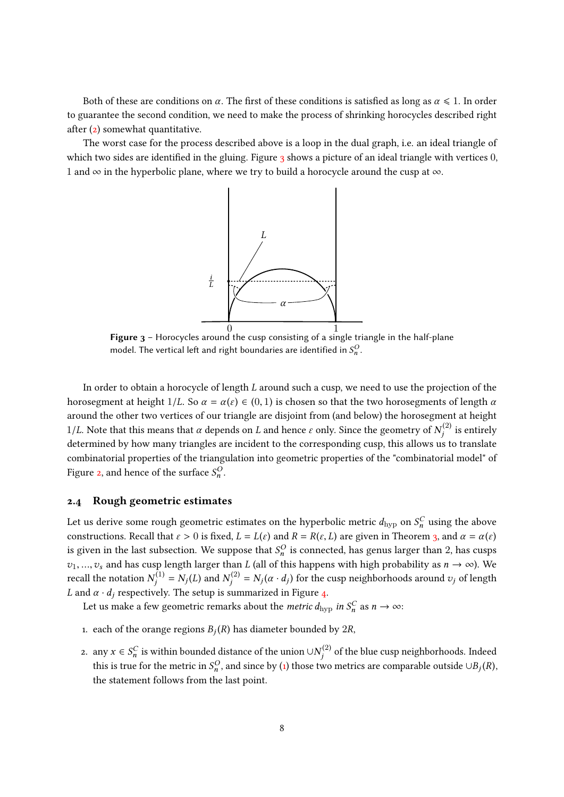Both of these are conditions on  $\alpha$ . The first of these conditions is satisfied as long as  $\alpha \leq 1$ . In order to guarantee the second condition, we need to make the process of shrinking horocycles described right after [\(2\)](#page-6-1) somewhat quantitative.

<span id="page-7-1"></span>The worst case for the process described above is a loop in the dual graph, i.e. an ideal triangle of which two sides are identified in the gluing. Figure  $3$  shows a picture of an ideal triangle with vertices  $0$ , 1 and  $\infty$  in the hyperbolic plane, where we try to build a horocycle around the cusp at  $\infty$ .



Figure 3 - Horocycles around the cusp consisting of a single triangle in the half-plane model. The vertical left and right boundaries are identified in  $S_n^O$ .

In order to obtain a horocycle of length L around such a cusp, we need to use the projection of the horosegment at height  $1/L$ . So  $\alpha = \alpha(\varepsilon) \in (0,1)$  is chosen so that the two horosegments of length  $\alpha$ around the other two vertices of our triangle are disjoint from (and below) the horosegment at height 1/L. Note that this means that α depends on L and hence ε only. Since the geometry of  $N_j^{(2)}$  is entirely determined by how many triangles are incident to the corresponding cusp, this allows us to translate combinatorial properties of the triangulation into geometric properties of the "combinatorial model" of Figure [2,](#page-3-0) and hence of the surface  $S_n^O$ .

#### <span id="page-7-0"></span>2.4 Rough geometric estimates

Let us derive some rough geometric estimates on the hyperbolic metric  $d_{\mathrm{hyp}}$  on  $S^C_n$  using the above constructions. Recall that  $\varepsilon > 0$  is fixed,  $L = L(\varepsilon)$  and  $R = R(\varepsilon, L)$  are given in Theorem [3,](#page-5-2) and  $\alpha = \alpha(\varepsilon)$ is given in the last subsection. We suppose that  $S_n^O$  is connected, has genus larger than 2, has cusps  $v_1, ..., v_s$  and has cusp length larger than L (all of this happens with high probability as  $n \to \infty$ ). We recall the notation  $N_j^{(1)} = N_j(L)$  and  $N_j^{(2)} = N_j(\alpha \cdot d_j)$  for the cusp neighborhoods around  $v_j$  of length L and  $\alpha \cdot d_i$  respectively. The setup is summarized in Figure [4.](#page-8-0)

Let us make a few geometric remarks about the *metric d*<sub>hyp</sub> in  $S_n^C$  as  $n \to \infty$ :

- 1. each of the orange regions  $B_j(R)$  has diameter bounded by  $2R$ ,
- 2. any  $x \in S_n^C$  is within bounded distance of the union ∪ $N_j^{(2)}$  of the blue cusp neighborhoods. Indeed this is true for the metric in  $S_n^O$ , and since by [\(1\)](#page-6-2) those two metrics are comparable outside ∪ $B_j(R)$ , the atotament follows from the last naint. the statement follows from the last point.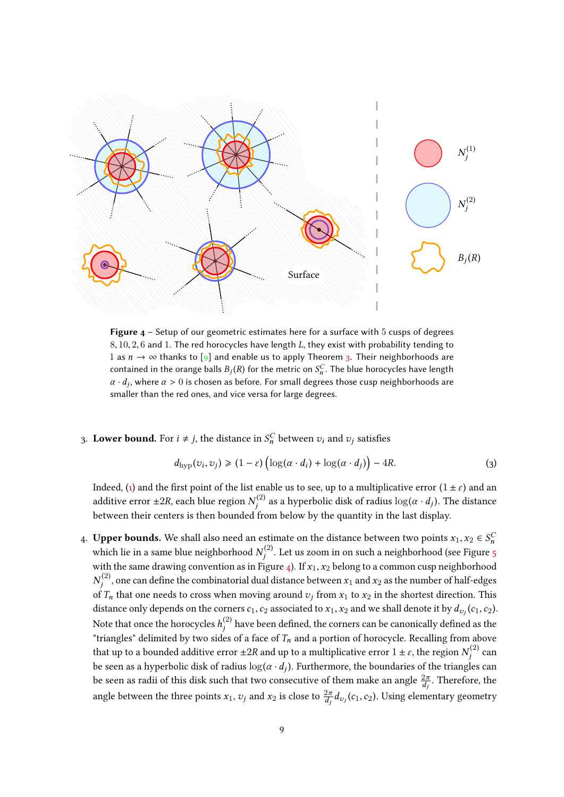<span id="page-8-0"></span>

**Figure**  $4 -$  **Setup of our geometric estimates here for a surface with 5 cusps of degrees**  $8, 10, 2, 6$  and 1. The red horocycles have length L, they exist with probability tending to 1 as  $n \to \infty$  thanks to [\[9\]](#page-22-0) and enable us to apply Theorem [3.](#page-5-2) Their neighborhoods are contained in the orange balls  $B_j(R)$  for the metric on  $S_n^C$ . The blue horocycles have length  $\alpha$ , during  $\alpha > 0$  is chosen as before. For small degrees these such neighborhoods are  $\alpha \cdot d_j$ , where  $\alpha > 0$  is chosen as before. For small degrees those cusp neighborhoods are smaller than the red ones, and vice versa for large degrees.

# 3. Lower bound. For  $i \neq j$ , the distance in  $S_n^C$  between  $v_i$  and  $v_j$  satisfies

<span id="page-8-1"></span>
$$
d_{\text{hyp}}(v_i, v_j) \geq (1 - \varepsilon) \left( \log(\alpha \cdot d_i) + \log(\alpha \cdot d_j) \right) - 4R. \tag{3}
$$

Indeed, [\(1\)](#page-6-2) and the first point of the list enable us to see, up to a multiplicative error  $(1 \pm \varepsilon)$  and an additive error ±2R, each blue region  $N_j^{(2)}$  as a hyperbolic disk of radius  $\log(\alpha \cdot d_j)$ . The distance between their centers is then bounded from below by the quantity in the last display.

4. **Upper bounds.** We shall also need an estimate on the distance between two points  $x_1, x_2 \in S_n^C$ which lie in a same blue neighborhood  $N_j^{(2)}$ . Let us zoom in on such a neighborhood (see Figure [5](#page-9-2) with the same drawing convention as in Figure [4\)](#page-8-0). If  $x_1$ ,  $x_2$  belong to a common cusp neighborhood  $N_{j}^{(2)}$ , one can define the combinatorial dual distance between  $x_{1}$  and  $x_{2}$  as the number of half-edges of  $T_n$  that one needs to cross when moving around  $v_j$  from  $x_1$  to  $x_2$  in the shortest direction. This distance only depends on the corners  $c_1, c_2$  associated to  $x_1, x_2$  and we shall denote it by  $d_{v_j}(c_1, c_2)$ . Note that once the horocycles  $h_j^{(2)}$  have been defined, the corners can be canonically defined as the "triangles" delimited by two sides of a face of  $T_n$  and a portion of horocycle. Recalling from above that up to a bounded additive error  $\pm 2R$  and up to a multiplicative error  $1\pm \varepsilon,$  the region  $N_j^{(2)}$  can be seen as a hyperbolic disk of radius  $\log(\alpha \cdot d_j)$ . Furthermore, the boundaries of the triangles can<br>he seen as no iii of this disk such that ture as necessitive of them make an angle  $2\pi$ . Therefore, the be seen as radii of this disk such that two consecutive of them make an angle  $\frac{2\pi}{d_j}.$  Therefore, the angle between the three points  $x_1$ ,  $v_j$  and  $x_2$  is close to  $\frac{2\pi}{d_j}d_{v_j}(c_1,c_2)$ . Using elementary geometry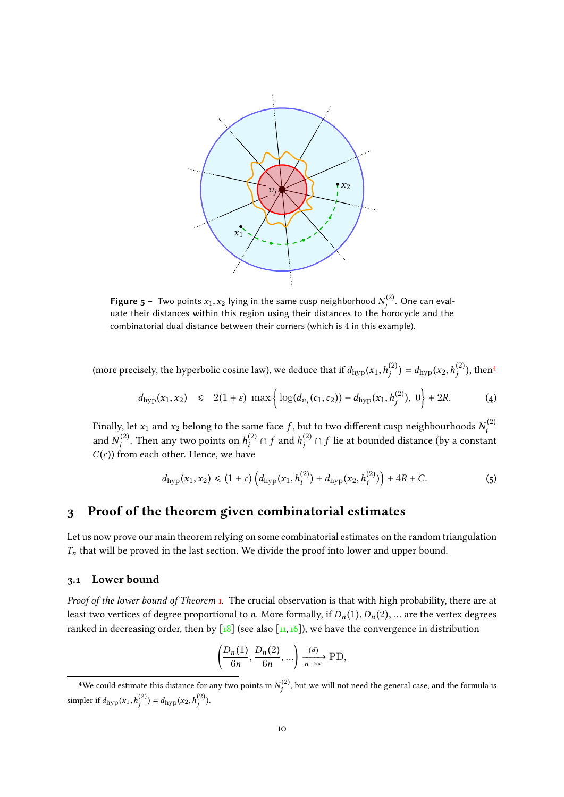<span id="page-9-2"></span>

**Figure 5** – Two points  $x_1, x_2$  lying in the same cusp neighborhood  $N_j^{(2)}$ . One can evaluate their distances within this region using their distances to the horocycle and the combinatorial dual distance between their corners (which is 4 in this example).

(more precisely, the hyperbolic cosine law), we deduce that if  $d_{\text{hyp}}(x_1, h_j^{(2)}) = d_{\text{hyp}}(x_2, h_j^{(2)})$ , then<sup>[4](#page-9-3)</sup>

<span id="page-9-4"></span>
$$
d_{\text{hyp}}(x_1, x_2) \leq 2(1+\varepsilon) \max \left\{ \log(d_{v_j}(c_1, c_2)) - d_{\text{hyp}}(x_1, h_j^{(2)}), 0 \right\} + 2R. \tag{4}
$$

Finally, let  $x_1$  and  $x_2$  belong to the same face  $f$ , but to two different cusp neighbourhoods  $N_i^{(2)}$ and  $N_j^{(2)}.$  Then any two points on  $h_i^{(2)} \cap f$  and  $h_j^{(2)} \cap f$  lie at bounded distance (by a constant  $C(\varepsilon)$ ) from each other. Hence, we have

<span id="page-9-5"></span>
$$
d_{\text{hyp}}(x_1, x_2) \le (1 + \varepsilon) \left( d_{\text{hyp}}(x_1, h_i^{(2)}) + d_{\text{hyp}}(x_2, h_j^{(2)}) \right) + 4R + C. \tag{5}
$$

## <span id="page-9-0"></span>3 Proof of the theorem given combinatorial estimates

Let us now prove our main theorem relying on some combinatorial estimates on the random triangulation  $T_n$  that will be proved in the last section. We divide the proof into lower and upper bound.

## <span id="page-9-1"></span>3.1 Lower bound

*Proof of the lower bound of Theorem [1.](#page-1-1)* The crucial observation is that with high probability, there are at least two vertices of degree proportional to n. More formally, if  $D_n(1)$ ,  $D_n(2)$ , ... are the vertex degrees ranked in decreasing order, then by  $\lceil 18 \rceil$  (see also  $\lceil 11, 16 \rceil$ ), we have the convergence in distribution

$$
\left(\frac{D_n(1)}{6n}, \frac{D_n(2)}{6n}, \ldots\right) \xrightarrow[n \to \infty]{(d)} \text{PD},
$$

<span id="page-9-3"></span> $^4$ We could estimate this distance for any two points in  $N_j^{(2)}$ , but we will not need the general case, and the formula is simpler if  $d_{\text{hyp}}(x_1, h_j^{(2)}) = d_{\text{hyp}}(x_2, h_j^{(2)})$ .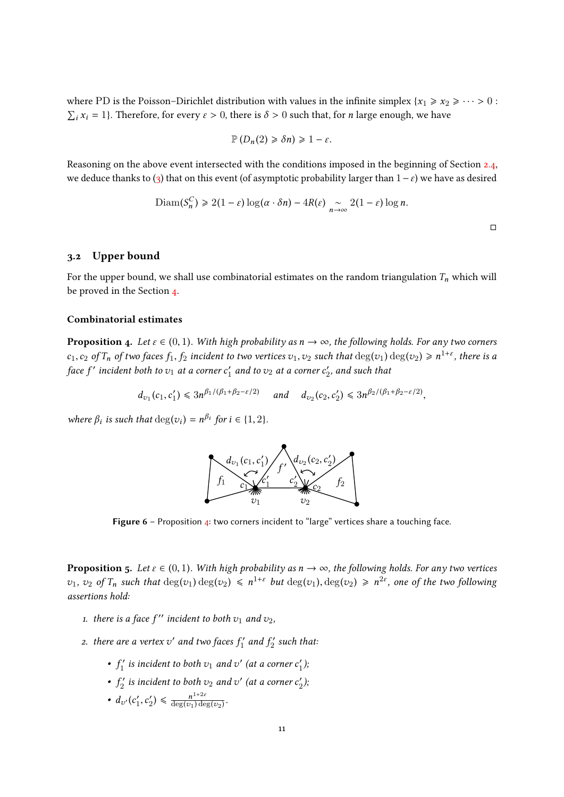where PD is the Poisson–Dirichlet distribution with values in the infinite simplex  ${x_1 \ge x_2 \ge \cdots > 0}$ :  $\sum_i x_i = 1$ . Therefore, for every  $\varepsilon > 0$ , there is  $\delta > 0$  such that, for *n* large enough, we have

$$
\mathbb{P}\left(D_n(2)\geq \delta n\right)\geq 1-\varepsilon.
$$

Reasoning on the above event intersected with the conditions imposed in the beginning of Section [2.4,](#page-7-0) we deduce thanks to [\(3\)](#page-8-1) that on this event (of asymptotic probability larger than  $1-\varepsilon$ ) we have as desired

$$
\text{Diam}(S_n^C) \geq 2(1-\varepsilon)\log(\alpha \cdot \delta n) - 4R(\varepsilon) \underset{n \to \infty}{\sim} 2(1-\varepsilon)\log n.
$$

## <span id="page-10-2"></span>3.2 Upper bound

For the upper bound, we shall use combinatorial estimates on the random triangulation  $T_n$  which will be proved in the Section [4.](#page-12-0)

### Combinatorial estimates

<span id="page-10-0"></span>**Proposition 4.** Let  $\varepsilon \in (0,1)$ . With high probability as  $n \to \infty$ , the following holds. For any two corners  $c_1, c_2$  of  $T_n$  of two faces  $f_1, f_2$  incident to two vertices  $v_1, v_2$  such that  $\deg(v_1) \deg(v_2) \geq n^{1+\varepsilon}$ , there is a face if insident hather at a sermon of and such that face  $f'$  incident both to  $v_1$  at a corner  $c_1'$  $\frac{1}{1}$  and to  $v_2$  at a corner  $c_2'$  $v_2'$ , and such that

$$
d_{\nu_1}(c_1, c'_1) \leq 3n^{\beta_1/(\beta_1 + \beta_2 - \varepsilon/2)}
$$
 and  $d_{\nu_2}(c_2, c'_2) \leq 3n^{\beta_2/(\beta_1 + \beta_2 - \varepsilon/2)}$ ,

where  $\beta_i$  is such that  $\deg(v_i) = n^{\beta_i}$  for  $i \in \{1, 2\}$ .



Figure  $6$  – Proposition  $4$ : two corners incident to "large" vertices share a touching face.

<span id="page-10-1"></span>**Proposition 5.** Let  $\varepsilon \in (0,1)$ . With high probability as  $n \to \infty$ , the following holds. For any two vertices  $v_1, v_2$  of  $T_n$  such that  $\deg(v_1) \deg(v_2) \leq n^{1+\varepsilon}$  but  $\deg(v_1), \deg(v_2) \geq n^{2\varepsilon}$ , one of the two following assertions hold:

- 1. there is a face  $f''$  incident to both  $v_1$  and  $v_2$ ,
- 2. there are a vertex  $v'$  and two faces  $f_1'$  $f_1'$  and  $f_2'$  $\frac{c}{2}'$  such that:
	- $\bullet$   $f_1'$  $\mathbf{f}_1^{\prime}$  is incident to both  $v_1$  and  $v^{\prime}$  (at a corner  $c_1^{\prime}$  $'_{1}$ );
	- $\bullet$   $f_2'$  $c_2^\prime$  is incident to both  $v_2$  and  $v^\prime$  (at a corner  $c_2^\prime$  $'_{2}$ );
	- $d_{v'}(c_1')$  $'_{1}, c'_{2}$  $\binom{n}{2} \leq \frac{n^{1+2\varepsilon}}{\deg(v_1)\deg(v_2)}$  $deg(v_1) deg(v_2)$ .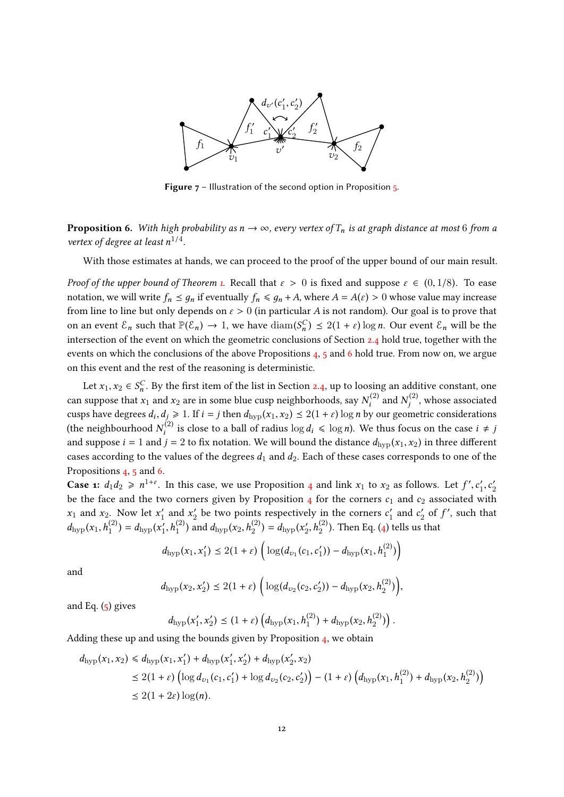

**Figure 7** – Illustration of the second option in Proposition  $\frac{1}{2}$ .

<span id="page-11-0"></span>**Proposition 6.** With high probability as  $n \to \infty$ , every vertex of  $T_n$  is at graph distance at most 6 from a vertex of degree at least  $n^{1/4}$ .

With those estimates at hands, we can proceed to the proof of the upper bound of our main result.

Proof of the upper bound of Theorem [1.](#page-1-1) Recall that  $\varepsilon > 0$  is fixed and suppose  $\varepsilon \in (0, 1/8)$ . To ease notation, we will write  $f_n \leq g_n$  if eventually  $f_n \leq g_n + A$ , where  $A = A(\varepsilon) > 0$  whose value may increase from line to line but only depends on  $\varepsilon > 0$  (in particular A is not random). Our goal is to prove that on an event  $\mathcal{E}_n$  such that  $\mathbb{P}(\mathcal{E}_n) \to 1$ , we have  $\text{diam}(S_n^C) \leq 2(1+\varepsilon) \log n$ . Our event  $\mathcal{E}_n$  will be the intersection of the system of the system of feature is the station with the intersection of the event on which the geometric conclusions of Section [2.4](#page-7-0) hold true, together with the events on which the conclusions of the above Propositions [4,](#page-10-0) [5](#page-10-1) and [6](#page-11-0) hold true. From now on, we argue on this event and the rest of the reasoning is deterministic.

Let  $x_1, x_2 \in S_n^C$ . By the first item of the list in Section [2.4,](#page-7-0) up to loosing an additive constant, one can suppose that  $x_1$  and  $x_2$  are in some blue cusp neighborhoods, say  $N_i^{(2)}$  and  $N_j^{(2)}$ , whose associated cusps have degrees  $d_i, d_j \ge 1$ . If  $i = j$  then  $d_{hyp}(x_1, x_2) \le 2(1 + \varepsilon) \log n$  by our geometric considerations (the neighbourhood  $N_i^{(2)}$  is close to a ball of radius  $\log d_i \leq \log n$ ). We thus focus on the case  $i \neq j$ and suppose  $i = 1$  and  $j = 2$  to fix notation. We will bound the distance  $d_{\text{hvp}}(x_1, x_2)$  in three different cases according to the values of the degrees  $d_1$  and  $d_2$ . Each of these cases corresponds to one of the Propositions [4,](#page-10-0) [5](#page-10-1) and [6.](#page-11-0)

**Case 1:**  $d_1 d_2 \ge n^{1+\epsilon}$ . In this case, we use Proposition [4](#page-10-0) and link  $x_1$  to  $x_2$  as follows. Let  $f', c_1'$  $c_1', c_2'$ 2 be the face and the two corners given by Proposition  $_4$  $_4$  for the corners  $c_1$  and  $c_2$  associated with  $x_1$  and  $x_2$ . Now let  $x_1'$  $x'_1$  and  $x'_2$  $c_2'$  be two points respectively in the corners  $c_1'$  $c_1'$  and  $c_2'$  $y'_2$  of  $f'$ , such that  $d_{\text{hyp}}(x_1, h_1^{(2)}) = d_{\text{hyp}}(x_1')$  $d_{\text{hyp}}(x_2, h_2^{(2)}) = d_{\text{hyp}}(x_2^{(2)})$  $L'_2$ ,  $h_2^{(2)}$ ). Then Eq. [\(4\)](#page-9-4) tells us that

$$
d_{\text{hyp}}(x_1, x_1') \leq 2(1+\varepsilon) \left( \log(d_{v_1}(c_1, c_1')) - d_{\text{hyp}}(x_1, h_1^{(2)}) \right)
$$

and

$$
d_{\text{hyp}}(x_2, x_2') \leq 2(1+\varepsilon) \left( \log(d_{v_2}(c_2, c_2')) - d_{\text{hyp}}(x_2, h_2^{(2)}) \right),
$$

and Eq.  $(5)$  gives

$$
d_{\text{hyp}}(x'_1, x'_2) \leq (1+\varepsilon) \left( d_{\text{hyp}}(x_1, h_1^{(2)}) + d_{\text{hyp}}(x_2, h_2^{(2)}) \right).
$$

Adding these up and using the bounds given by Proposition [4,](#page-10-0) we obtain

$$
d_{\text{hyp}}(x_1, x_2) \le d_{\text{hyp}}(x_1, x_1') + d_{\text{hyp}}(x_1', x_2') + d_{\text{hyp}}(x_2', x_2)
$$
  
\n
$$
\le 2(1 + \varepsilon) \left( \log d_{v_1}(c_1, c_1') + \log d_{v_2}(c_2, c_2') \right) - (1 + \varepsilon) \left( d_{\text{hyp}}(x_1, h_1^{(2)}) + d_{\text{hyp}}(x_2, h_2^{(2)}) \right)
$$
  
\n
$$
\le 2(1 + 2\varepsilon) \log(n).
$$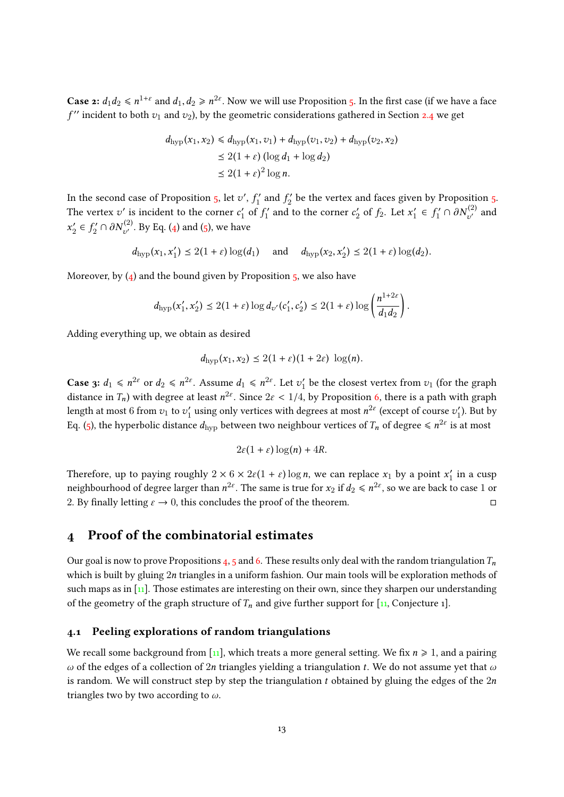**Case 2:**  $d_1d_2 \le n^{1+\epsilon}$  and  $d_1, d_2 \ge n^{2\epsilon}$ . Now we will use Proposition [5.](#page-10-1) In the first case (if we have a face  $f''$  incident to both  $v_1$  and  $v_2$ ), by the geometric considerations gathered in Section [2.4](#page-7-0) we get

$$
d_{\text{hyp}}(x_1, x_2) \le d_{\text{hyp}}(x_1, v_1) + d_{\text{hyp}}(v_1, v_2) + d_{\text{hyp}}(v_2, x_2)
$$
  

$$
\le 2(1 + \varepsilon) (\log d_1 + \log d_2)
$$
  

$$
\le 2(1 + \varepsilon)^2 \log n.
$$

In the second case of Proposition  $5$ , let  $v'$ ,  $f'_1$  $f'_1$  and  $f'_2$  $\mathcal{L}_2^{\prime}$  be the vertex and faces given by Proposition [5.](#page-10-1) The vertex  $v'$  is incident to the corner  $c_1'$  $\frac{1}{1}$  of  $f_1'$  $c'_1$  and to the corner  $c'_2$  $x'_2$  of  $f_2$ . Let  $x'_1$  $f_1' \in f_1'$  $j_1^{\mathcal{C}^{\prime}}\cap \partial N_{\mathcal{U}^{\prime}}^{(2)}$  and  $x_2'$  $f_2' \in f_2'$  $C_2' \cap \partial N_{\upsilon'}^{(2)}.$  By Eq. [\(4\)](#page-9-4) and [\(5\)](#page-9-5), we have

$$
d_{\text{hyp}}(x_1, x_1') \le 2(1+\varepsilon)\log(d_1) \quad \text{and} \quad d_{\text{hyp}}(x_2, x_2') \le 2(1+\varepsilon)\log(d_2).
$$

Moreover, by  $(4)$  and the bound given by Proposition  $5$ , we also have

$$
d_{\text{hyp}}(x'_1, x'_2) \leq 2(1+\varepsilon) \log d_{v'}(c'_1, c'_2) \leq 2(1+\varepsilon) \log \left(\frac{n^{1+2\varepsilon}}{d_1 d_2}\right).
$$

Adding everything up, we obtain as desired

$$
d_{\text{hyp}}(x_1,x_2) \leq 2(1+\varepsilon)(1+2\varepsilon)\,\log(n).
$$

**Case 3:**  $d_1 \leq n^{2\epsilon}$  or  $d_2 \leq n^{2\epsilon}$ . Assume  $d_1 \leq n^{2\epsilon}$ . Let  $v_1$  $v'_1$  be the closest vertex from  $v_1$  (for the graph distance in  $T_n$ ) with degree at least  $n^{2\varepsilon}$ . Since  $2\varepsilon < 1/4$ , by Proposition [6,](#page-11-0) there is a path with graph length at most  $6$  from  $v_1$  to  $v_1'$  $\alpha_1'$  using only vertices with degrees at most  $n^{2\varepsilon}$  (except of course  $v_1'$  $b'_1$ ). But by Eq. [\(5\)](#page-9-5), the hyperbolic distance  $d_{\text{hyp}}$  between two neighbour vertices of  $T_n$  of degree  $\leqslant n^{2\varepsilon}$  is at most

$$
2\varepsilon(1+\varepsilon)\log(n)+4R.
$$

Therefore, up to paying roughly  $2 \times 6 \times 2\varepsilon (1 + \varepsilon) \log n$ , we can replace  $x_1$  by a point  $x_1$ <br>maighbourhood of days a large than  $x_1^{2\varepsilon}$ . The same is true for  $u$ , if  $d \leq x_1^{2\varepsilon}$  so we are had to  $i_1'$  in a cusp neighbourhood of degree larger than  $n^{2\varepsilon}.$  The same is true for  $x_2$  if  $d_2\leqslant n^{2\varepsilon},$  so we are back to case  $1$  or 2. By finally letting  $\varepsilon \to 0$ , this concludes the proof of the theorem.

## <span id="page-12-0"></span>4 Proof of the combinatorial estimates

Our goal is now to prove Propositions [4,](#page-10-0) [5](#page-10-1) and [6.](#page-11-0) These results only deal with the random triangulation  $T_n$ which is built by gluing 2n triangles in a uniform fashion. Our main tools will be exploration methods of such maps as in  $\lceil n \rceil$ . Those estimates are interesting on their own, since they sharpen our understanding of the geometry of the graph structure of  $T_n$  and give further support for [\[11,](#page-22-16) Conjecture 1].

### <span id="page-12-1"></span>4.1 Peeling explorations of random triangulations

We recall some background from [\[11\]](#page-22-16), which treats a more general setting. We fix  $n \ge 1$ , and a pairing ω of the edges of a collection of  $2n$  triangles yielding a triangulation t. We do not assume yet that ω is random. We will construct step by step the triangulation t obtained by gluing the edges of the  $2n$ triangles two by two according to  $\omega$ .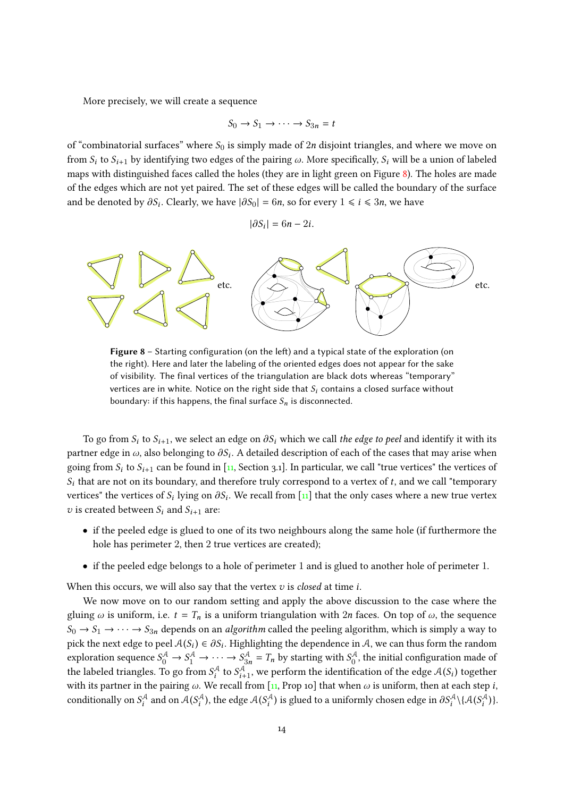More precisely, we will create a sequence

$$
S_0 \to S_1 \to \cdots \to S_{3n} = t
$$

of "combinatorial surfaces" where  $S_0$  is simply made of 2n disjoint triangles, and where we move on from  $S_i$  to  $S_{i+1}$  by identifying two edges of the pairing  $\omega$ . More specifically,  $S_i$  will be a union of labeled maps with distinguished faces called the holes (they are in light green on Figure [8\)](#page-13-0). The holes are made of the edges which are not yet paired. The set of these edges will be called the boundary of the surface and be denoted by  $\partial S_i$ . Clearly, we have  $|\partial S_0| = 6n$ , so for every  $1 \le i \le 3n$ , we have

$$
|\partial S_i| = 6n - 2i.
$$

<span id="page-13-0"></span>

Figure  $8$  – Starting configuration (on the left) and a typical state of the exploration (on the right). Here and later the labeling of the oriented edges does not appear for the sake of visibility. The final vertices of the triangulation are black dots whereas "temporary" vertices are in white. Notice on the right side that  $S_i$  contains a closed surface without boundary: if this happens, the final surface  $S_n$  is disconnected.

To go from  $S_i$  to  $S_{i+1}$ , we select an edge on  $\partial S_i$  which we call the edge to peel and identify it with its partner edge in  $\omega$ , also belonging to  $\partial S_i$ . A detailed description of each of the cases that may arise when going from  $S_i$  to  $S_{i+1}$  can be found in [\[11,](#page-22-16) Section 3.1]. In particular, we call "true vertices" the vertices of  $S_i$  that are not on its boundary, and therefore truly correspond to a vertex of t, and we call "temporary" vertices" the vertices of  $S_i$  lying on  $\partial S_i$ . We recall from [\[11\]](#page-22-16) that the only cases where a new true vertex v is created between  $S_i$  and  $S_{i+1}$  are:

- if the peeled edge is glued to one of its two neighbours along the same hole (if furthermore the hole has perimeter 2, then 2 true vertices are created);
- if the peeled edge belongs to a hole of perimeter 1 and is glued to another hole of perimeter 1.

When this occurs, we will also say that the vertex  $v$  is *closed* at time  $i$ .

We now move on to our random setting and apply the above discussion to the case where the gluing  $\omega$  is uniform, i.e.  $t = T_n$  is a uniform triangulation with  $2n$  faces. On top of  $\omega$ , the sequence  $S_0 \to S_1 \to \cdots \to S_{3n}$  depends on an algorithm called the peeling algorithm, which is simply a way to pick the next edge to peel  $A(S_i) \in \partial S_i$ . Highlighting the dependence in A, we can thus form the random<br>symbostian accuracy  $S^A \rightarrow S^A \rightarrow S^A \rightarrow T$ , by starting with  $S^A$ , the initial configuration made of exploration sequence  $S_0^A \to S_1^A \to \cdots \to S_{3n}^A = T_n$  by starting with  $S_0^A$ , the initial configuration made of the labeled triangles. To go from  $S_t^A$  to  $S_{t+1}^A$ , we perform the identification of the edge  $A(S_t)$  together with its partner in the pairing  $\omega$ . We recall from [\[11,](#page-22-16) Prop 10] that when  $\omega$  is uniform, then at each step i, conditionally on  $S_i^{\mathcal{A}}$  and on  $\mathcal{A}(S_i^{\mathcal{A}})$ , the edge  $\mathcal{A}(S_i^{\mathcal{A}})$  is glued to a uniformly chosen edge in  $\partial S_i^{\mathcal{A}}\setminus{\{\mathcal{A}(S_i^{\mathcal{A}})\}}$ .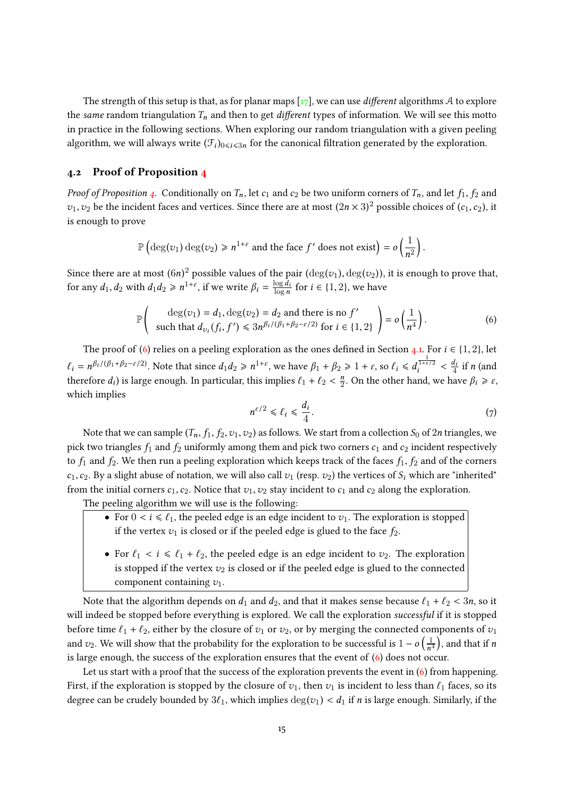The strength of this setup is that, as for planar maps  $\lceil 17 \rceil$ , we can use *different* algorithms A to explore the same random triangulation  $T_n$  and then to get *different* types of information. We will see this motto in practice in the following sections. When exploring our random triangulation with a given peeling algorithm, we will always write  $(\mathcal{F}_i)_{0\leq i\leq 3n}$  for the canonical filtration generated by the exploration.

## <span id="page-14-0"></span>4.2 Proof of Proposition [4](#page-10-0)

*Proof of Proposition [4.](#page-10-0)* Conditionally on  $T_n$ , let  $c_1$  and  $c_2$  be two uniform corners of  $T_n$ , and let  $f_1$ ,  $f_2$  and  $v_1, v_2$  be the incident faces and vertices. Since there are at most  $(2n \times 3)^2$  possible choices of  $(c_1, c_2)$ , it is an averal to neave is enough to prove

$$
\mathbb{P}\left(\deg(v_1)\deg(v_2)\geq n^{1+\varepsilon}\text{ and the face }f'\text{ does not exist}\right)=o\left(\frac{1}{n^2}\right).
$$

Since there are at most  $(6n)^2$  possible values of the pair  $(\deg(v_1), \deg(v_2))$ , it is enough to prove that, for any  $d_1, d_2$  with  $d_1 d_2 \geq n^{1+\varepsilon}$ , if we write  $\beta_i = \frac{\log d_i}{\log n}$  $\frac{\log d_i}{\log n}$  for  $i \in \{1, 2\}$ , we have

<span id="page-14-1"></span>
$$
\mathbb{P}\left(\begin{array}{c}\deg(v_1) = d_1, \deg(v_2) = d_2 \text{ and there is no } f'\\ \text{such that } d_{v_i}(f_i, f') \leq 3n^{\beta_i/(\beta_1 + \beta_2 - \varepsilon/2)} \text{ for } i \in \{1, 2\}\end{array}\right) = o\left(\frac{1}{n^4}\right).
$$
 (6)

The proof of [\(6\)](#page-14-1) relies on a peeling exploration as the ones defined in Section [4.1.](#page-12-1) For  $i \in \{1, 2\}$ , let  $\ell_i = n^{\beta_i/(\beta_1 + \beta_2 - \varepsilon/2)}$ . Note that since  $d_1 d_2 \ge n^{1+\varepsilon}$ , we have  $\beta_1 + \beta_2 \ge 1 + \varepsilon$ , so  $\ell_i \le d_i^{\frac{1}{1+\varepsilon/2}} < \frac{d_i}{4}$  $\frac{a_i}{4}$  if n (and therefore  $d_i$ ) is large enough. In particular, this implies  $\ell_1 + \ell_2 < \frac{n}{2}$  $\frac{n}{2}$ . On the other hand, we have  $\beta_i \geq \varepsilon$ , which implies

<span id="page-14-2"></span>
$$
n^{\varepsilon/2} \leq \ell_i \leq \frac{d_i}{4}.\tag{7}
$$

Note that we can sample  $(T_n, f_1, f_2, v_1, v_2)$  as follows. We start from a collection  $S_0$  of  $2n$  triangles, we pick two triangles  $f_1$  and  $f_2$  uniformly among them and pick two corners  $c_1$  and  $c_2$  incident respectively to  $f_1$  and  $f_2$ . We then run a peeling exploration which keeps track of the faces  $f_1$ ,  $f_2$  and of the corners  $c_1, c_2$ . By a slight abuse of notation, we will also call  $v_1$  (resp.  $v_2$ ) the vertices of  $S_i$  which are "inherited" from the initial corners  $c_1, c_2$ . Notice that  $v_1, v_2$  stay incident to  $c_1$  and  $c_2$  along the exploration.

The peeling algorithm we will use is the following:

- For  $0 \lt i \leq \ell_1$ , the peeled edge is an edge incident to  $v_1$ . The exploration is stopped if the vertex  $v_1$  is closed or if the peeled edge is glued to the face  $f_2$ .
- For  $\ell_1 < i \leq \ell_1 + \ell_2$ , the peeled edge is an edge incident to  $v_2$ . The exploration is stopped if the vertex  $v_2$  is closed or if the peeled edge is glued to the connected component containing  $v_1$ .

Note that the algorithm depends on  $d_1$  and  $d_2$ , and that it makes sense because  $\ell_1 + \ell_2 < 3n$ , so it will indeed be stopped before everything is explored. We call the exploration successful if it is stopped before time  $\ell_1 + \ell_2$ , either by the closure of  $v_1$  or  $v_2$ , or by merging the connected components of  $v_1$ and  $v_2$ . We will show that the probability for the exploration to be successful is  $1 - o\left(\frac{1}{n}\right)$  $\frac{1}{n^4}$ , and that if *n* is large enough, the success of the exploration ensures that the event of [\(6\)](#page-14-1) does not occur.

Let us start with a proof that the success of the exploration prevents the event in [\(6\)](#page-14-1) from happening. First, if the exploration is stopped by the closure of  $v_1$ , then  $v_1$  is incident to less than  $\ell_1$  faces, so its degree can be crudely bounded by  $3\ell_1$ , which implies  $\deg(v_1) < d_1$  if n is large enough. Similarly, if the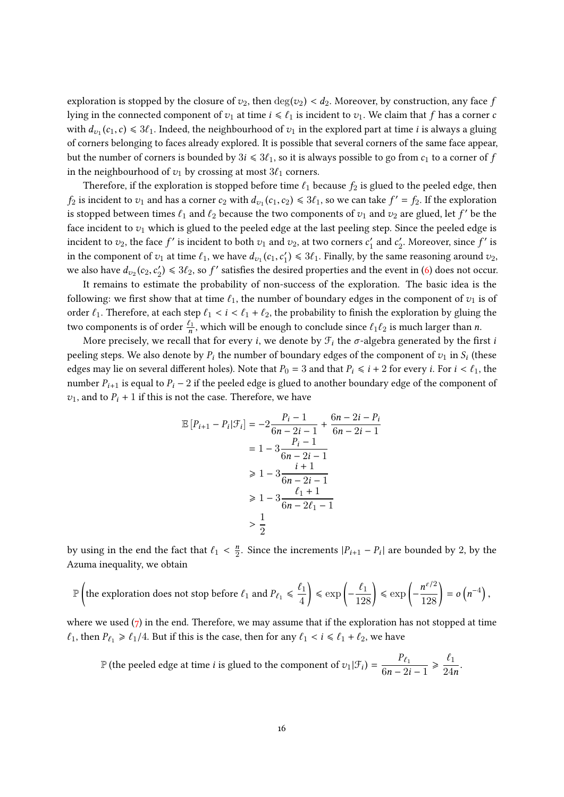exploration is stopped by the closure of  $v_2$ , then  $\deg(v_2) < d_2$ . Moreover, by construction, any face f lying in the connected component of  $v_1$  at time  $i \leq \ell_1$  is incident to  $v_1$ . We claim that f has a corner c with  $d_{v_1}(c_1, c) \leq 3\ell_1$ . Indeed, the neighbourhood of  $v_1$  in the explored part at time *i* is always a gluing of corners belonging to faces already explored. It is possible that several corners of the same face appear, but the number of corners is bounded by  $3i \leq 3\ell_1$ , so it is always possible to go from  $c_1$  to a corner of f in the neighbourhood of  $v_1$  by crossing at most  $3\ell_1$  corners.

Therefore, if the exploration is stopped before time  $\ell_1$  because  $f_2$  is glued to the peeled edge, then  $f_2$  is incident to  $v_1$  and has a corner  $c_2$  with  $d_{v_1}(c_1, c_2) \leq \frac{3\ell_1}{2}$ , so we can take  $f' = f_2$ . If the exploration is stopped between times  $\ell_1$  and  $\ell_2$  because the two components of  $v_1$  and  $v_2$  are glued, let  $f'$  be the face incident to  $v_1$  which is glued to the peeled edge at the last peeling step. Since the peeled edge is incident to  $v_2$ , the face  $f'$  is incident to both  $v_1$  and  $v_2$ , at two corners  $c_1'$  $c_1'$  and  $c_2'$  $\mathbf{z}'_2$ . Moreover, since  $f'$  is in the component of  $v_1$  at time  $\ell_1$ , we have  $d_{v_1}(c_1, c'_1)$ <br>we also have  $d_{v_1}(c_2, c'_1) \le 2\ell$ , as  $f'_1$  satisfies the day  $U_1$ )  $\leq 3\ell_1$ . Finally, by the same reasoning around  $v_2$ , we also have  $d_{v_2}(c_2, c'_2)$  $2/2$ )  $\leq 3\ell_2$ , so f' satisfies the desired properties and the event in [\(6\)](#page-14-1) does not occur.

It remains to estimate the probability of non-success of the exploration. The basic idea is the following: we first show that at time  $\ell_1$ , the number of boundary edges in the component of  $v_1$  is of order  $\ell_1$ . Therefore, at each step  $\ell_1 < i < \ell_1 + \ell_2$ , the probability to finish the exploration by gluing the two components is of order  $\frac{\ell_1}{n}$ , which will be enough to conclude since  $\ell_1\ell_2$  is much larger than n.

More precisely, we recall that for every *i*, we denote by  $\mathcal{F}_i$  the  $\sigma$ -algebra generated by the first *i* peeling steps. We also denote by  $P_i$  the number of boundary edges of the component of  $v_1$  in  $S_i$  (these edges may lie on several different holes). Note that  $P_0 = 3$  and that  $P_i \le i + 2$  for every *i*. For  $i < l_1$ , the number  $P_{i+1}$  is equal to  $P_i - 2$  if the peeled edge is glued to another boundary edge of the component of  $v_1$ , and to  $P_i + 1$  if this is not the case. Therefore, we have

$$
\mathbb{E}\left[P_{i+1} - P_i | \mathcal{F}_i\right] = -2\frac{P_i - 1}{6n - 2i - 1} + \frac{6n - 2i - P_i}{6n - 2i - 1}
$$

$$
= 1 - 3\frac{P_i - 1}{6n - 2i - 1}
$$

$$
\ge 1 - 3\frac{i + 1}{6n - 2i - 1}
$$

$$
\ge 1 - 3\frac{\ell_1 + 1}{6n - 2\ell_1 - 1}
$$

$$
> \frac{1}{2}
$$

by using in the end the fact that  $\ell_1 < \frac{n}{2}$  $\frac{n}{2}$ . Since the increments  $|P_{i+1} - P_i|$  are bounded by 2, by the Azuma inequality, we obtain

$$
\mathbb{P}\left(\text{the exploration does not stop before }\ell_1 \text{ and } P_{\ell_1} \leq \frac{\ell_1}{4}\right) \leq \exp\left(-\frac{\ell_1}{128}\right) \leq \exp\left(-\frac{n^{\epsilon/2}}{128}\right) = o\left(n^{-4}\right),
$$

where we used  $(7)$  in the end. Therefore, we may assume that if the exploration has not stopped at time  $\ell_1$ , then  $P_{\ell_1} \geq \ell_1/4$ . But if this is the case, then for any  $\ell_1 < i \leq \ell_1 + \ell_2$ , we have

 $\mathbb P$  (the peeled edge at time *i* is glued to the component of  $v_1|\mathcal{F}_i$ ) =  $\frac{P_{\ell_1}}{6n-2i}$  $6n - 2i - 1$  $\geqslant \frac{\ell_1}{\ell_2}$  $\frac{c_1}{24n}$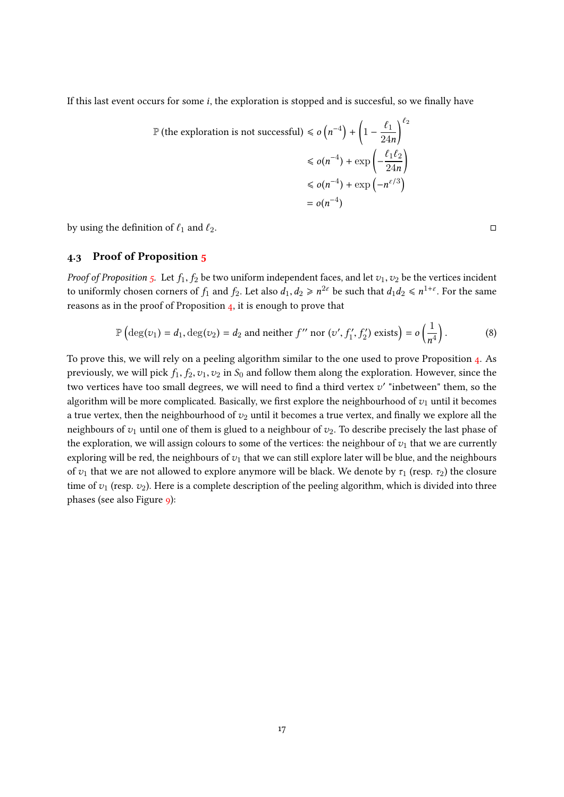If this last event occurs for some  $i$ , the exploration is stopped and is succesful, so we finally have

$$
\mathbb{P}(\text{the exploration is not successful}) \leq \sigma(n^{-4}) + \left(1 - \frac{\ell_1}{24n}\right)^{\ell_2}
$$

$$
\leq \sigma(n^{-4}) + \exp\left(-\frac{\ell_1 \ell_2}{24n}\right)
$$

$$
\leq \sigma(n^{-4}) + \exp(-n^{\epsilon/3})
$$

$$
= \sigma(n^{-4})
$$

by using the definition of  $\ell_1$  and  $\ell_2$ .

## <span id="page-16-0"></span>4.3 Proof of Proposition [5](#page-10-1)

*Proof of Proposition [5.](#page-10-1)* Let  $f_1, f_2$  be two uniform independent faces, and let  $v_1, v_2$  be the vertices incident to uniformly chosen corners of  $f_1$  and  $f_2$ . Let also  $d_1,d_2\geqslant n^{2\varepsilon}$  be such that  $d_1d_2\leqslant n^{1+\varepsilon}.$  For the same reasons as in the proof of Proposition [4,](#page-10-0) it is enough to prove that

<span id="page-16-1"></span>
$$
\mathbb{P}\left(\deg(v_1) = d_1, \deg(v_2) = d_2 \text{ and neither } f'' \text{ nor } (v', f'_1, f'_2) \text{ exists}\right) = o\left(\frac{1}{n^4}\right).
$$
 (8)

 $\overline{\phantom{a}}$ 

To prove this, we will rely on a peeling algorithm similar to the one used to prove Proposition [4.](#page-10-0) As previously, we will pick  $f_1, f_2, v_1, v_2$  in  $S_0$  and follow them along the exploration. However, since the two vertices have too small degrees, we will need to find a third vertex  $v'$  "inbetween" them, so the algorithm will be more complicated. Basically, we first explore the neighbourhood of  $v_1$  until it becomes a true vertex, then the neighbourhood of  $v_2$  until it becomes a true vertex, and finally we explore all the neighbours of  $v_1$  until one of them is glued to a neighbour of  $v_2$ . To describe precisely the last phase of the exploration, we will assign colours to some of the vertices: the neighbour of  $v_1$  that we are currently exploring will be red, the neighbours of  $v_1$  that we can still explore later will be blue, and the neighbours of  $v_1$  that we are not allowed to explore anymore will be black. We denote by  $\tau_1$  (resp.  $\tau_2$ ) the closure time of  $v_1$  (resp.  $v_2$ ). Here is a complete description of the peeling algorithm, which is divided into three phases (see also Figure [9\)](#page-18-0):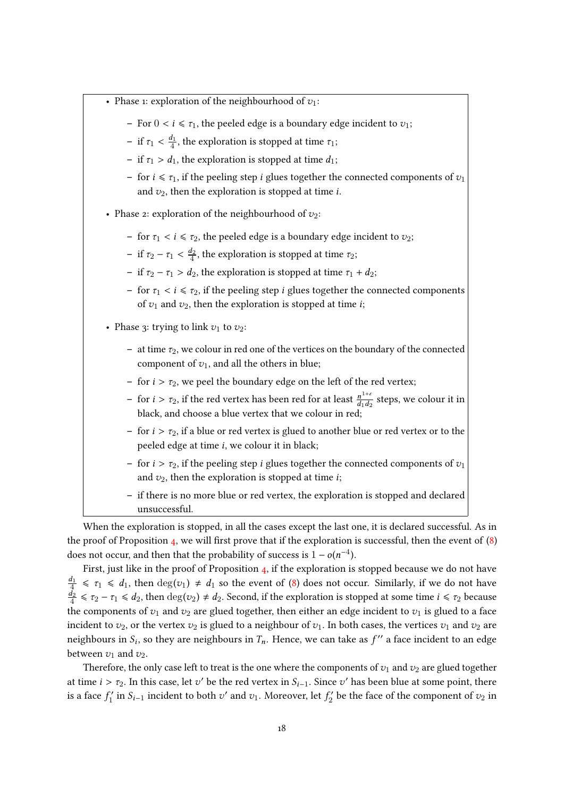

When the exploration is stopped, in all the cases except the last one, it is declared successful. As in the proof of Proposition [4,](#page-10-0) we will first prove that if the exploration is successful, then the event of  $(8)$ does not occur, and then that the probability of success is  $1 - o(n^{-4})$ .<br>First, just like in the number of a Democration is if the explanation is

First, just like in the proof of Proposition [4,](#page-10-0) if the exploration is stopped because we do not have  $d_1$  $\frac{d_1}{4} \leq \tau_1 \leq d_1$ , then  $\deg(v_1) \neq d_1$  so the event of [\(8\)](#page-16-1) does not occur. Similarly, if we do not have  $d_2$  $\frac{d_2}{4} \leq \tau_2 - \tau_1 \leq d_2$ , then  $\deg(v_2) \neq d_2$ . Second, if the exploration is stopped at some time  $i \leq \tau_2$  because the components of  $v_1$  and  $v_2$  are glued together, then either an edge incident to  $v_1$  is glued to a face incident to  $v_2$ , or the vertex  $v_2$  is glued to a neighbour of  $v_1$ . In both cases, the vertices  $v_1$  and  $v_2$  are neighbours in  $S_i$ , so they are neighbours in  $T_n$ . Hence, we can take as  $f''$  a face incident to an edge between  $v_1$  and  $v_2$ .

Therefore, the only case left to treat is the one where the components of  $v_1$  and  $v_2$  are glued together at time  $i > \tau_2$ . In this case, let v' be the red vertex in  $S_{i-1}$ . Since v' has been blue at some point, there is a face  $f_1'$  $S'_{1}$  in  $S_{i-1}$  incident to both  $v'$  and  $v_1$ . Moreover, let  $f'_2$  $\frac{c}{2}$  be the face of the component of  $v_2$  in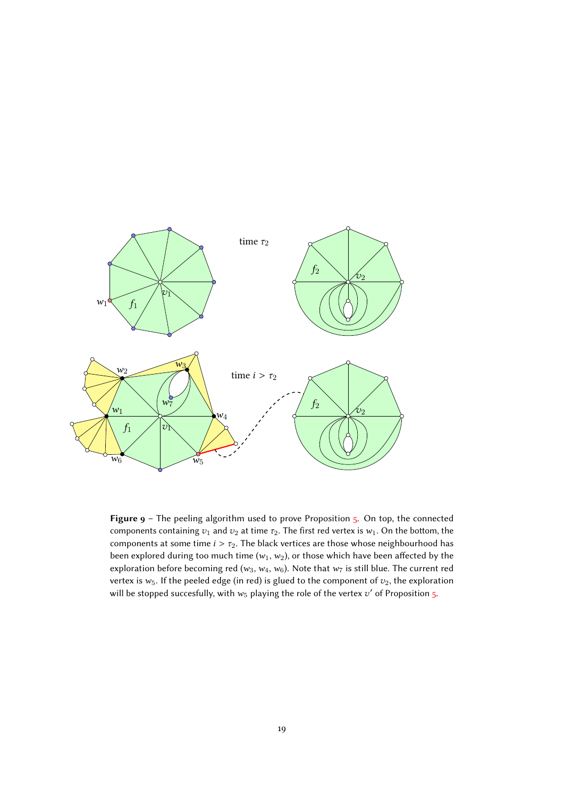<span id="page-18-0"></span>

Figure  $9$  – The peeling algorithm used to prove Proposition  $5$ . On top, the connected components containing  $v_1$  and  $v_2$  at time  $\tau_2$ . The first red vertex is  $w_1$ . On the bottom, the components at some time  $i > \tau_2$ . The black vertices are those whose neighbourhood has been explored during too much time ( $w_1, w_2$ ), or those which have been affected by the exploration before becoming red ( $w_3$ ,  $w_4$ ,  $w_6$ ). Note that  $w_7$  is still blue. The current red vertex is  $w_5$ . If the peeled edge (in red) is glued to the component of  $v_2$ , the exploration will be stopped succesfully, with  $w_5$  playing the role of the vertex  $v'$  of Proposition [5.](#page-10-1)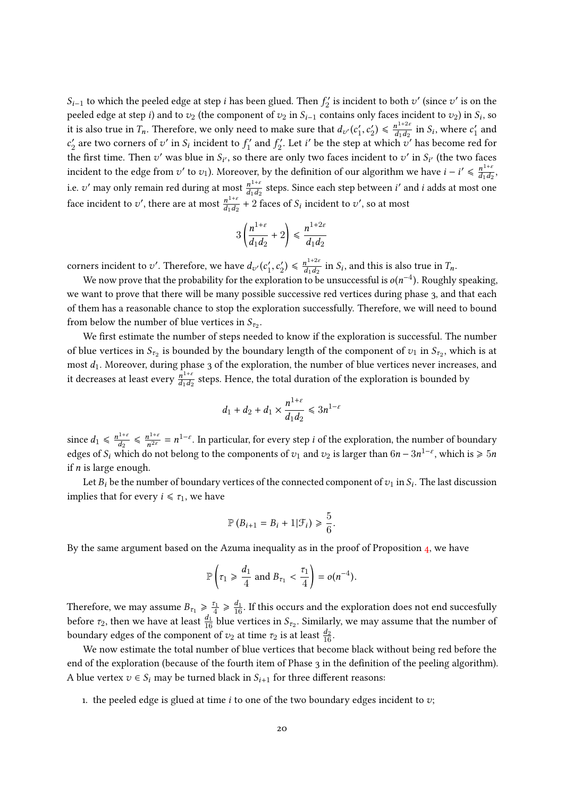$S_{i-1}$  to which the peeled edge at step *i* has been glued. Then  $f_2'$  $\mathcal{L}_2'$  is incident to both  $v'$  (since  $v'$  is on the peeled edge at step *i*) and to  $v_2$  (the component of  $v_2$  in  $S_{i-1}$  contains only faces incident to  $v_2$ ) in  $S_i$ , so it is also true in  $T_n$ . Therefore, we only need to make sure that  $d_{v'}(c'_1)$  $'_{1}, c'_{2}$  $\binom{1}{2} \leq \frac{n^{1+2\varepsilon}}{d_1 d_2}$  $\frac{n^{1+2\varepsilon}}{d_1d_2}$  in  $S_i$ , where  $c'_1$  $x'_1$  and  $c_2'$  $\chi_2'$  are two corners of  $v'$  in  $S_i$  incident to  $f_1'$  $f'_1$  and  $f'_2$  $\frac{c}{2}$ . Let *i*' be the step at which  $v'$  has become red for the first time. Then  $v'$  was blue in  $S_{i'}$ , so there are only two faces incident to  $v'$  in  $S_{i'}$  (the two faces incident to the edge from  $v'$  to  $v_1$ ). Moreover, by the definition of our algorithm we have  $i - i' \leq \frac{n^{1+i}}{d_1 d_2}$  $\frac{n^{1+\epsilon}}{d_1d_2},$ i.e. v' may only remain red during at most  $\frac{n^{1+\varepsilon}}{d\cdot d\varepsilon}$  $\frac{n^{1+\epsilon}}{d_1d_2}$  steps. Since each step between *i*' and *i* adds at most one face incident to v', there are at most  $\frac{n^{1+\epsilon}}{d_1d_2}$  $\frac{n^{1+\epsilon}}{d_1d_2}$  + 2 faces of  $S_i$  incident to  $v'$ , so at most

$$
3\left(\frac{n^{1+\varepsilon}}{d_1d_2}+2\right)\leq \frac{n^{1+2\varepsilon}}{d_1d_2}
$$

corners incident to v'. Therefore, we have  $d_{v'}(c_1)$ <br>We now never that the quality for the sum  $t'_1, c'_2$  $\binom{b}{2} \leqslant \frac{n^{1+2\varepsilon}}{d_1 d_2}$  $\frac{n^{1+2\epsilon}}{d_1d_2}$  in  $S_i$ , and this is also true in  $T_n$ .

We now prove that the probability for the exploration to be unsuccessful is  $o(n^{-4})$ . Roughly speaking, we want to prove that there will be many possible successive red vertices during phase 3, and that each of them has a reasonable chance to stop the exploration successfully. Therefore, we will need to bound from below the number of blue vertices in  $S_{\tau_2}$ .

We first estimate the number of steps needed to know if the exploration is successful. The number of blue vertices in  $S_{\tau_2}$  is bounded by the boundary length of the component of  $v_1$  in  $S_{\tau_2}$ , which is at most  $d_1$ . Moreover, during phase 3 of the exploration, the number of blue vertices never increases, and it decreases at least every  $\frac{n^{1+\epsilon}}{d\epsilon}$  $\frac{n^{1+\epsilon}}{d_1d_2}$  steps. Hence, the total duration of the exploration is bounded by

$$
d_1 + d_2 + d_1 \times \frac{n^{1+\varepsilon}}{d_1 d_2} \le 3n^{1-\varepsilon}
$$

since  $d_1 \leq \frac{n^{1+\epsilon}}{d_2}$  $\frac{n^{1+\varepsilon}}{d_2} \leqslant \frac{n^{1+\varepsilon}}{n^{2\varepsilon}}$  $n^{\frac{1+\epsilon}{n^{2\epsilon}}} = n^{1-\epsilon}$ . In particular, for every step *i* of the exploration, the number of boundary edges of  $S_i$  which do not belong to the components of  $v_1$  and  $v_2$  is larger than  $6n - 3n^{1-\epsilon}$ , which is  $\ge 5n$ if  $n$  is large enough.

Let  $B_i$  be the number of boundary vertices of the connected component of  $v_1$  in  $S_i$ . The last discussion implies that for every  $i \leq \tau_1$ , we have

$$
\mathbb{P}\left(B_{i+1}=B_i+1|\mathcal{F}_i\right)\geq \frac{5}{6}.
$$

By the same argument based on the Azuma inequality as in the proof of Proposition [4,](#page-10-0) we have

$$
\mathbb{P}\left(\tau_1 \geq \frac{d_1}{4} \text{ and } B_{\tau_1} < \frac{\tau_1}{4}\right) = o(n^{-4}).
$$

Therefore, we may assume  $B_{\tau_1} \geq \frac{\tau_1}{4}$  $\frac{a_1}{4} \geqslant \frac{d_1}{16}$ . If this occurs and the exploration does not end succesfully before  $\tau_2$ , then we have at least  $\frac{d_1}{16}$  blue vertices in  $S_{\tau_2}$ . Similarly, we may assume that the number of boundary edges of the component of  $v_2$  at time  $\tau_2$  is at least  $\frac{d_2}{16}$ .

We now estimate the total number of blue vertices that become black without being red before the end of the exploration (because of the fourth item of Phase 3 in the definition of the peeling algorithm). A blue vertex  $v \in S_i$  may be turned black in  $S_{i+1}$  for three different reasons:

<span id="page-19-0"></span>1. the peeled edge is glued at time  $i$  to one of the two boundary edges incident to  $v$ ;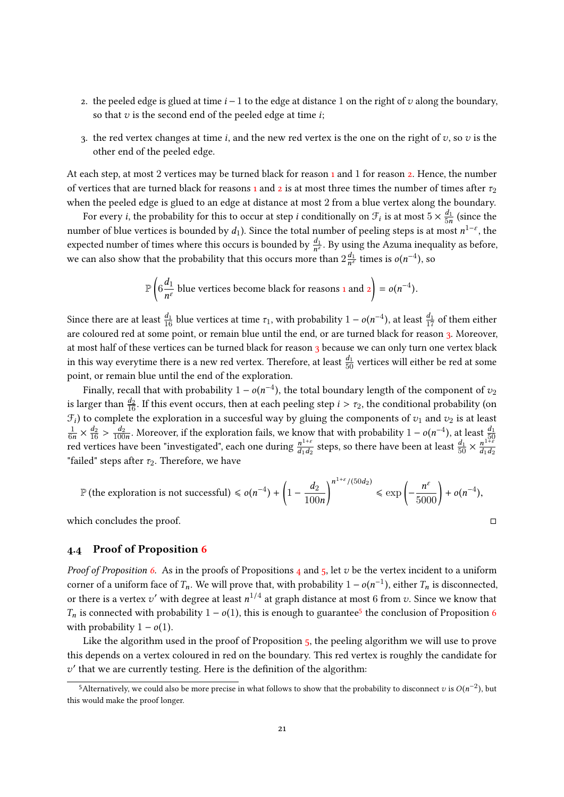- <span id="page-20-1"></span>2. the peeled edge is glued at time  $i - 1$  to the edge at distance 1 on the right of v along the boundary, so that  $v$  is the second end of the peeled edge at time  $i$ ;
- <span id="page-20-2"></span>3. the red vertex changes at time i, and the new red vertex is the one on the right of  $v$ , so  $v$  is the other end of the peeled edge.

At each step, at most 2 vertices may be turned black for reason [1](#page-19-0) and 1 for reason [2.](#page-20-1) Hence, the number of vertices that are turned black for reasons [1](#page-19-0) and [2](#page-20-1) is at most three times the number of times after  $\tau_2$ when the peeled edge is glued to an edge at distance at most 2 from a blue vertex along the boundary.

For every *i*, the probability for this to occur at step *i* conditionally on  $\mathcal{F}_i$  is at most  $5 \times \frac{d_1}{5n}$  $\frac{d_1}{5n}$  (since the number of blue vertices is bounded by  $d_1$ ). Since the total number of peeling steps is at most  $n^{1-\varepsilon},$  the expected number of times where this occurs is bounded by  $\frac{d_1}{n^{\varepsilon}}$ . By using the Azuma inequality as before, we can also show that the probability that this occurs more than  $2\frac{d_1}{n^e}$  $\frac{d_1}{n^{\varepsilon}}$  times is  $o(n^{-4})$ , so

$$
\mathbb{P}\left(6\frac{d_1}{n^{\epsilon}} \text{ blue vertices become black for reasons } 1 \text{ and } 2\right) = o(n^{-4}).
$$

Since there are at least  $\frac{d_1}{16}$  blue vertices at time  $\tau_1$ , with probability  $1 - o(n^{-4})$ , at least  $\frac{d_1}{17}$  of them either are coloured red at some point, or remain blue until the end, or are turned black for reason [3.](#page-20-2) Moreover, at most half of these vertices can be turned black for reason [3](#page-20-2) because we can only turn one vertex black in this way everytime there is a new red vertex. Therefore, at least  $\frac{d_1}{50}$  vertices will either be red at some point, or remain blue until the end of the exploration.

Finally, recall that with probability  $1 - o(n^{-4})$ , the total boundary length of the component of  $v_2$ is larger than  $\frac{d_2}{16}$ . If this event occurs, then at each peeling step  $i > \tau_2$ , the conditional probability (on  $\mathcal{F}_i$ ) to complete the exploration in a succesful way by gluing the components of  $v_1$  and  $v_2$  is at least 1  $\frac{1}{6n} \times \frac{d_2}{16} > \frac{d_2}{100}$  $\frac{1}{6n} \times \frac{d_2}{16} > \frac{d_2}{100n}$ . Moreover, if the exploration fails, we know that with probability  $1 - o(n^{-4})$ , at least  $\frac{d_1}{50}$ <br>red vertices have been "investigated", each one during  $\frac{n^{1+\epsilon}}{4d_0}$  steps, so the  $rac{n^{1+\varepsilon}}{d_1d_2}$  steps, so there have been at least  $\frac{d_1}{50} \times \frac{n^{1+\varepsilon}}{d_1d_2}$  $d_1d_2$ "failed" steps after  $\tau_2$ . Therefore, we have

$$
\mathbb{P}\left(\text{the exploration is not successful}\right) \leq o(n^{-4}) + \left(1 - \frac{d_2}{100n}\right)^{n^{1+\varepsilon}/(50d_2)} \leq \exp\left(-\frac{n^{\varepsilon}}{5000}\right) + o(n^{-4}),
$$

which concludes the proof.  $\Box$ 

## <span id="page-20-0"></span>4.4 Proof of Proposition [6](#page-11-0)

*Proof of Proposition [6.](#page-11-0)* As in the proofs of Propositions [4](#page-10-0) and [5,](#page-10-1) let v be the vertex incident to a uniform corner of a uniform face of  $T_n$ . We will prove that, with probability  $1 - o(n^{-1})$ , either  $T_n$  is disconnected, or there is a vertex of with degree at least  $n^{1/4}$  at graph distance at meat 6 from a Since we know that or there is a vertex  $v'$  with degree at least  $n^{1/4}$  at graph distance at most 6 from  $v$ . Since we know that  $T_n$  is connected with probability  $1 - o(1)$ , this is enough to guarantee<sup>[5](#page-20-3)</sup> the conclusion of Proposition [6](#page-11-0)<br>with probability  $1 - o(1)$ with probability  $1 - o(1)$ .

Like the algorithm used in the proof of Proposition  $5$ , the peeling algorithm we will use to prove this depends on a vertex coloured in red on the boundary. This red vertex is roughly the candidate for  $v'$  that we are currently testing. Here is the definition of the algorithm:

<span id="page-20-3"></span><sup>&</sup>lt;sup>5</sup>Alternatively, we could also be more precise in what follows to show that the probability to disconnect v is  $O(n^{-2})$ , but this would make the proof longer.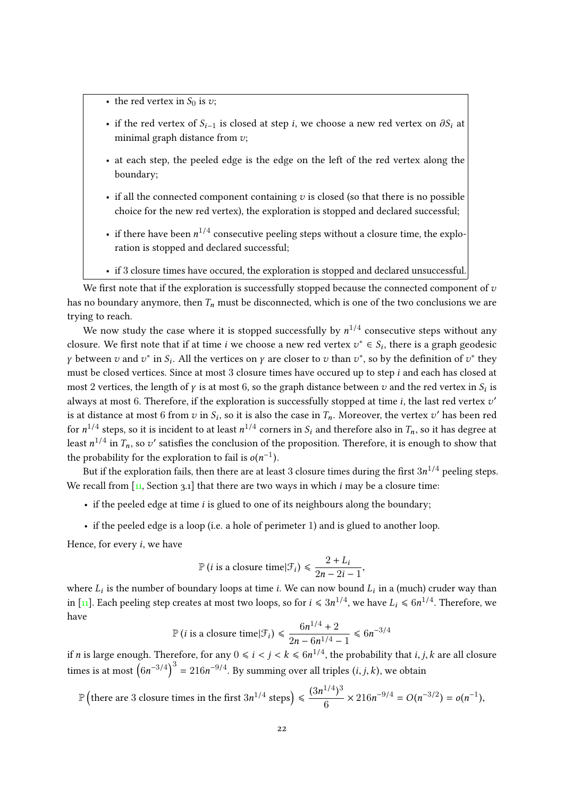- the red vertex in  $S_0$  is  $v$ ;
- if the red vertex of  $S_{i-1}$  is closed at step i, we choose a new red vertex on  $\partial S_i$  at minimal graph distance from  $v$ ;
- at each step, the peeled edge is the edge on the left of the red vertex along the boundary;
- if all the connected component containing  $v$  is closed (so that there is no possible choice for the new red vertex), the exploration is stopped and declared successful;
- if there have been  $n^{1/4}$  consecutive peeling steps without a closure time, the exploration is stopped and declared successful;
- if 3 closure times have occured, the exploration is stopped and declared unsuccessful.

We first note that if the exploration is successfully stopped because the connected component of  $v$ has no boundary anymore, then  $T_n$  must be disconnected, which is one of the two conclusions we are trying to reach.

We now study the case where it is stopped successfully by  $n^{1/4}$  consecutive steps without any closure. We first note that if at time *i* we choose a new red vertex  $v^* \in S_i$ , there is a graph geodesic *γ* between *v* and  $v^*$  in  $S_i$ . All the vertices on *γ* are closer to *v* than  $v^*$ , so by the definition of  $v^*$  they must be closed vertices. Since at most 3 closure times have occured up to step i and each has closed at most 2 vertices, the length of  $\gamma$  is at most 6, so the graph distance between  $v$  and the red vertex in  $S_i$  is always at most 6. Therefore, if the exploration is successfully stopped at time *i*, the last red vertex  $v'$ is at distance at most 6 from  $v$  in  $S_i$ , so it is also the case in  $T_n$ . Moreover, the vertex  $v'$  has been red for  $n^{1/4}$  steps, so it is incident to at least  $n^{1/4}$  corners in  $S_i$  and therefore also in  $T_n$ , so it has degree at least  $n^{1/4}$  in  $T_n$ , so  $v'$  satisfies the conclusion of the proposition. Therefore, it is enough to show that the probability for the exploration to fail is  $o(n^{-1})$ .<br>
Dut if the exploration fails then there are at les

But if the exploration fails, then there are at least  $3$  closure times during the first  $3n^{1/4}$  peeling steps. We recall from  $\left[11, \text{Section 3.1}\right]$  $\left[11, \text{Section 3.1}\right]$  $\left[11, \text{Section 3.1}\right]$  that there are two ways in which *i* may be a closure time:

- $\bullet$  if the peeled edge at time *i* is glued to one of its neighbours along the boundary;
- if the peeled edge is a loop (i.e. a hole of perimeter 1) and is glued to another loop.

Hence, for every i, we have

$$
\mathbb{P}\left(i \text{ is a closure time}|\mathcal{F}_{i}\right) \leq \frac{2 + L_{i}}{2n - 2i - 1},
$$

where  $L_i$  is the number of boundary loops at time *i*. We can now bound  $L_i$  in a (much) cruder way than in [\[11\]](#page-22-16). Each peeling step creates at most two loops, so for  $i\leqslant 3n^{1/4}$ , we have  $L_i\leqslant 6n^{1/4}.$  Therefore, we have

$$
\mathbb{P}\left(i \text{ is a closure time}|\mathcal{F}_{i}\right) \leq \frac{6n^{1/4} + 2}{2n - 6n^{1/4} - 1} \leq 6n^{-3/4}
$$

if  $n$  is large enough. Therefore, for any  $0\leqslant i < j < k \leqslant 6n^{1/4},$  the probability that  $i,j,k$  are all closure times is at most  $(6n^{-3/4})^3 = 216n^{-9/4}$ . By summing over all triples  $(i, j, k)$ , we obtain

$$
\mathbb{P}\left(\text{there are 3 closure times in the first }3n^{1/4}\text{ steps}\right) \leq \frac{(3n^{1/4})^3}{6} \times 216n^{-9/4} = O(n^{-3/2}) = o(n^{-1}),
$$